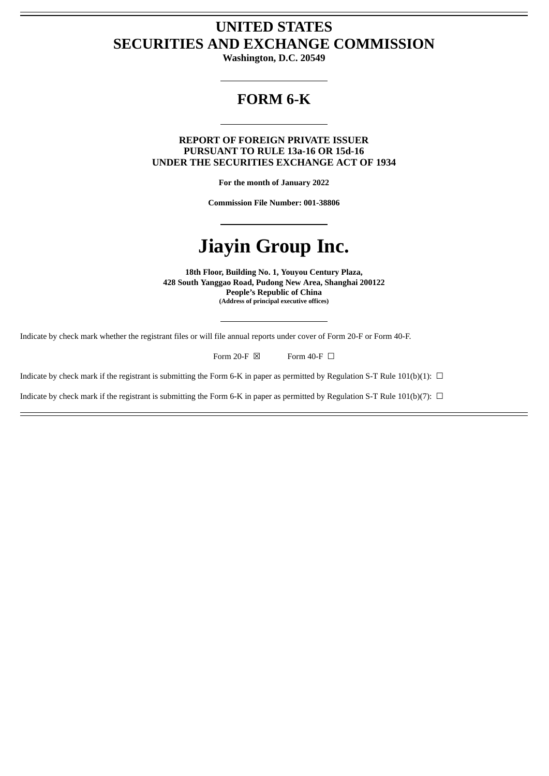# **UNITED STATES SECURITIES AND EXCHANGE COMMISSION**

**Washington, D.C. 20549**

# **FORM 6-K**

## **REPORT OF FOREIGN PRIVATE ISSUER PURSUANT TO RULE 13a-16 OR 15d-16 UNDER THE SECURITIES EXCHANGE ACT OF 1934**

**For the month of January 2022**

**Commission File Number: 001-38806**

# **Jiayin Group Inc.**

**18th Floor, Building No. 1, Youyou Century Plaza, 428 South Yanggao Road, Pudong New Area, Shanghai 200122 People's Republic of China (Address of principal executive offices)**

Indicate by check mark whether the registrant files or will file annual reports under cover of Form 20-F or Form 40-F.

Form 20-F  $\boxtimes$  Form 40-F  $\Box$ 

Indicate by check mark if the registrant is submitting the Form 6-K in paper as permitted by Regulation S-T Rule 101(b)(1):  $\Box$ 

Indicate by check mark if the registrant is submitting the Form 6-K in paper as permitted by Regulation S-T Rule 101(b)(7):  $\Box$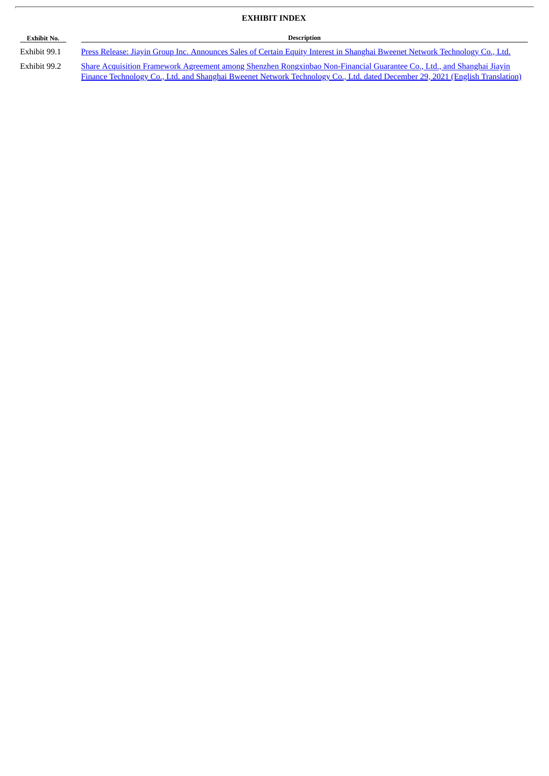# **EXHIBIT INDEX**

| Exhibit No.  | <b>Description</b>                                                                                                           |
|--------------|------------------------------------------------------------------------------------------------------------------------------|
| Exhibit 99.1 | Press Release: Jiayin Group Inc. Announces Sales of Certain Equity Interest in Shanghai Bweenet Network Technology Co., Ltd. |
| Exhibit 99.2 | Share Acquisition Framework Agreement among Shenzhen Rongxinbao Non-Financial Guarantee Co., Ltd., and Shanghai Jiayin       |
|              | Finance Technology Co., Ltd. and Shanghai Bweenet Network Technology Co., Ltd. dated December 29, 2021 (English Translation) |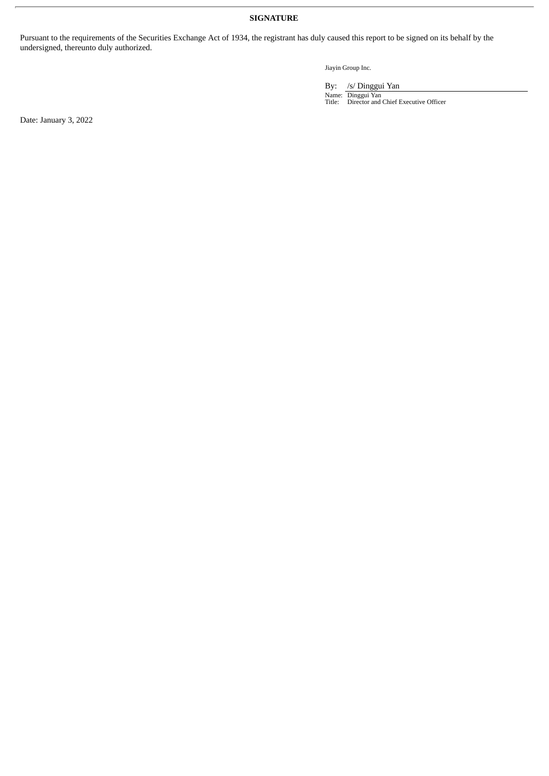#### **SIGNATURE**

Pursuant to the requirements of the Securities Exchange Act of 1934, the registrant has duly caused this report to be signed on its behalf by the undersigned, thereunto duly authorized.

#### Jiayin Group Inc.

By: /s/ Dinggui Yan

Name: Dinggui Yan Title: Director and Chief Executive Officer

Date: January 3, 2022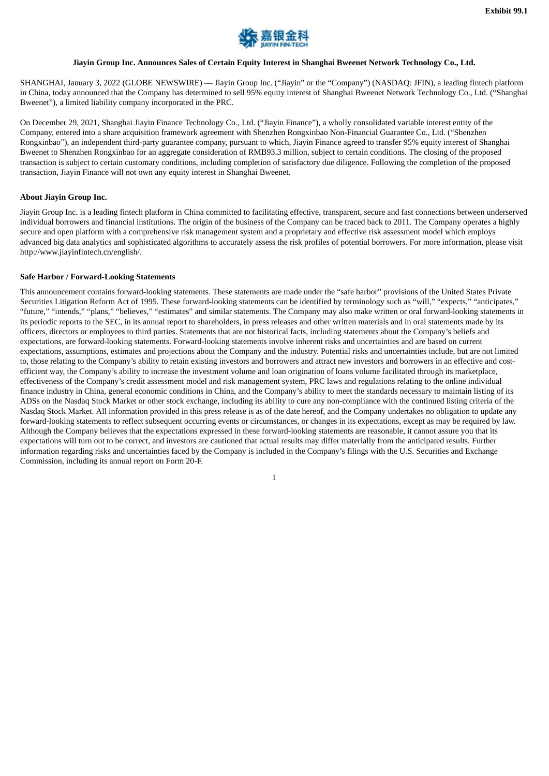

#### **Jiayin Group Inc. Announces Sales of Certain Equity Interest in Shanghai Bweenet Network Technology Co., Ltd.**

<span id="page-3-0"></span>SHANGHAI, January 3, 2022 (GLOBE NEWSWIRE) — Jiayin Group Inc. ("Jiayin" or the "Company") (NASDAQ: JFIN), a leading fintech platform in China, today announced that the Company has determined to sell 95% equity interest of Shanghai Bweenet Network Technology Co., Ltd. ("Shanghai Bweenet"), a limited liability company incorporated in the PRC.

On December 29, 2021, Shanghai Jiayin Finance Technology Co., Ltd. ("Jiayin Finance"), a wholly consolidated variable interest entity of the Company, entered into a share acquisition framework agreement with Shenzhen Rongxinbao Non-Financial Guarantee Co., Ltd. ("Shenzhen Rongxinbao"), an independent third-party guarantee company, pursuant to which, Jiayin Finance agreed to transfer 95% equity interest of Shanghai Bweenet to Shenzhen Rongxinbao for an aggregate consideration of RMB93.3 million, subject to certain conditions. The closing of the proposed transaction is subject to certain customary conditions, including completion of satisfactory due diligence. Following the completion of the proposed transaction, Jiayin Finance will not own any equity interest in Shanghai Bweenet.

#### **About Jiayin Group Inc.**

Jiayin Group Inc. is a leading fintech platform in China committed to facilitating effective, transparent, secure and fast connections between underserved individual borrowers and financial institutions. The origin of the business of the Company can be traced back to 2011. The Company operates a highly secure and open platform with a comprehensive risk management system and a proprietary and effective risk assessment model which employs advanced big data analytics and sophisticated algorithms to accurately assess the risk profiles of potential borrowers. For more information, please visit http://www.jiayinfintech.cn/english/.

#### **Safe Harbor / Forward-Looking Statements**

This announcement contains forward-looking statements. These statements are made under the "safe harbor" provisions of the United States Private Securities Litigation Reform Act of 1995. These forward-looking statements can be identified by terminology such as "will," "expects," "anticipates," "future," "intends," "plans," "believes," "estimates" and similar statements. The Company may also make written or oral forward-looking statements in its periodic reports to the SEC, in its annual report to shareholders, in press releases and other written materials and in oral statements made by its officers, directors or employees to third parties. Statements that are not historical facts, including statements about the Company's beliefs and expectations, are forward-looking statements. Forward-looking statements involve inherent risks and uncertainties and are based on current expectations, assumptions, estimates and projections about the Company and the industry. Potential risks and uncertainties include, but are not limited to, those relating to the Company's ability to retain existing investors and borrowers and attract new investors and borrowers in an effective and costefficient way, the Company's ability to increase the investment volume and loan origination of loans volume facilitated through its marketplace, effectiveness of the Company's credit assessment model and risk management system, PRC laws and regulations relating to the online individual finance industry in China, general economic conditions in China, and the Company's ability to meet the standards necessary to maintain listing of its ADSs on the Nasdaq Stock Market or other stock exchange, including its ability to cure any non-compliance with the continued listing criteria of the Nasdaq Stock Market. All information provided in this press release is as of the date hereof, and the Company undertakes no obligation to update any forward-looking statements to reflect subsequent occurring events or circumstances, or changes in its expectations, except as may be required by law. Although the Company believes that the expectations expressed in these forward-looking statements are reasonable, it cannot assure you that its expectations will turn out to be correct, and investors are cautioned that actual results may differ materially from the anticipated results. Further information regarding risks and uncertainties faced by the Company is included in the Company's filings with the U.S. Securities and Exchange Commission, including its annual report on Form 20-F.

1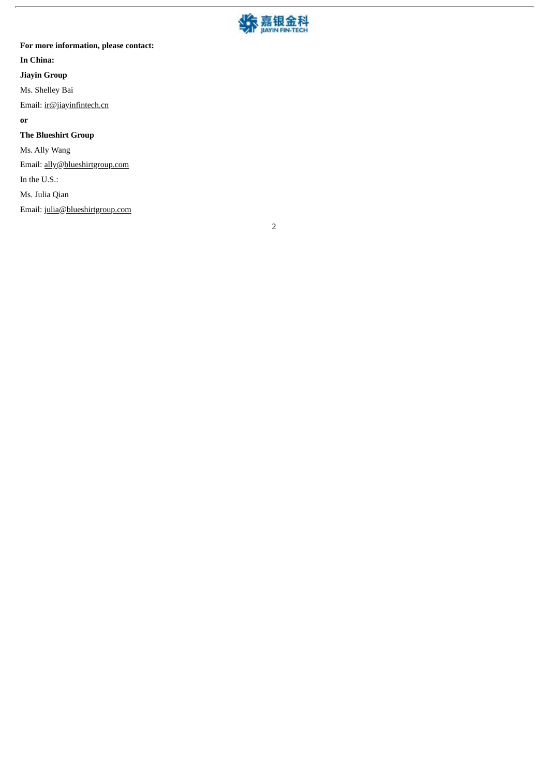

# **For more information, please contact:**

**In China:**

**Jiayin Group**

Ms. Shelley Bai

Email: *ir@jiayinfintech.cn* 

**or**

# **The Blueshirt Group**

Ms. Ally Wang Email: ally@blueshirtgroup.com In the U.S.:

Ms. Julia Qian

Email: julia@blueshirtgroup.com

2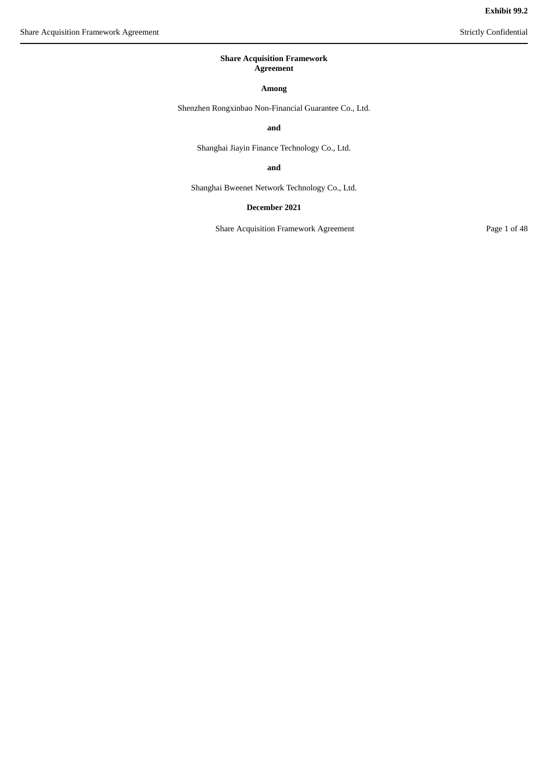#### **Share Acquisition Framework Agreement**

**Among**

<span id="page-5-0"></span>Shenzhen Rongxinbao Non-Financial Guarantee Co., Ltd.

**and**

Shanghai Jiayin Finance Technology Co., Ltd.

**and**

Shanghai Bweenet Network Technology Co., Ltd.

### **December 2021**

Share Acquisition Framework Agreement Page 1 of 48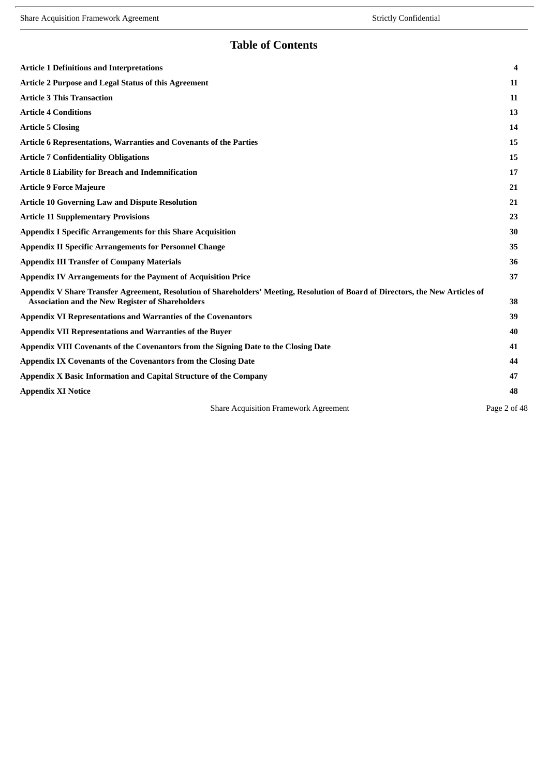# **Table of Contents**

| <b>Article 1 Definitions and Interpretations</b>                                                                                                                                           | 4            |
|--------------------------------------------------------------------------------------------------------------------------------------------------------------------------------------------|--------------|
| <b>Article 2 Purpose and Legal Status of this Agreement</b>                                                                                                                                | 11           |
| <b>Article 3 This Transaction</b>                                                                                                                                                          | 11           |
| <b>Article 4 Conditions</b>                                                                                                                                                                | 13           |
| <b>Article 5 Closing</b>                                                                                                                                                                   | 14           |
| Article 6 Representations, Warranties and Covenants of the Parties                                                                                                                         | 15           |
| <b>Article 7 Confidentiality Obligations</b>                                                                                                                                               | 15           |
| <b>Article 8 Liability for Breach and Indemnification</b>                                                                                                                                  | 17           |
| <b>Article 9 Force Majeure</b>                                                                                                                                                             | 21           |
| <b>Article 10 Governing Law and Dispute Resolution</b>                                                                                                                                     | 21           |
| <b>Article 11 Supplementary Provisions</b>                                                                                                                                                 | 23           |
| <b>Appendix I Specific Arrangements for this Share Acquisition</b>                                                                                                                         | 30           |
| <b>Appendix II Specific Arrangements for Personnel Change</b>                                                                                                                              | 35           |
| <b>Appendix III Transfer of Company Materials</b>                                                                                                                                          | 36           |
| Appendix IV Arrangements for the Payment of Acquisition Price                                                                                                                              | 37           |
| Appendix V Share Transfer Agreement, Resolution of Shareholders' Meeting, Resolution of Board of Directors, the New Articles of<br><b>Association and the New Register of Shareholders</b> | 38           |
| Appendix VI Representations and Warranties of the Covenantors                                                                                                                              | 39           |
| <b>Appendix VII Representations and Warranties of the Buyer</b>                                                                                                                            | 40           |
| Appendix VIII Covenants of the Covenantors from the Signing Date to the Closing Date                                                                                                       | 41           |
| Appendix IX Covenants of the Covenantors from the Closing Date                                                                                                                             | 44           |
| Appendix X Basic Information and Capital Structure of the Company                                                                                                                          | 47           |
| <b>Appendix XI Notice</b>                                                                                                                                                                  | 48           |
| <b>Share Acquisition Framework Agreement</b>                                                                                                                                               | Page 2 of 48 |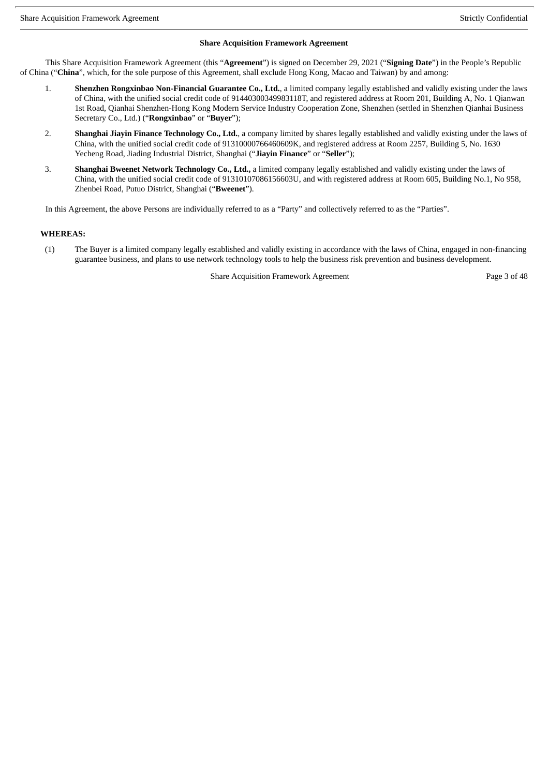#### **Share Acquisition Framework Agreement**

This Share Acquisition Framework Agreement (this "**Agreement**") is signed on December 29, 2021 ("**Signing Date**") in the People's Republic of China ("**China**", which, for the sole purpose of this Agreement, shall exclude Hong Kong, Macao and Taiwan) by and among:

- 1. **Shenzhen Rongxinbao Non-Financial Guarantee Co., Ltd.**, a limited company legally established and validly existing under the laws of China, with the unified social credit code of 91440300349983118T, and registered address at Room 201, Building A, No. 1 Qianwan 1st Road, Qianhai Shenzhen-Hong Kong Modern Service Industry Cooperation Zone, Shenzhen (settled in Shenzhen Qianhai Business Secretary Co., Ltd.) ("**Rongxinbao**" or "**Buyer**");
- 2. **Shanghai Jiayin Finance Technology Co., Ltd.**, a company limited by shares legally established and validly existing under the laws of China, with the unified social credit code of 91310000766460609K, and registered address at Room 2257, Building 5, No. 1630 Yecheng Road, Jiading Industrial District, Shanghai ("**Jiayin Finance**" or "**Seller**");
- 3. **Shanghai Bweenet Network Technology Co., Ltd.,** a limited company legally established and validly existing under the laws of China, with the unified social credit code of 91310107086156603U, and with registered address at Room 605, Building No.1, No 958, Zhenbei Road, Putuo District, Shanghai ("**Bweenet**").

In this Agreement, the above Persons are individually referred to as a "Party" and collectively referred to as the "Parties".

#### **WHEREAS:**

(1) The Buyer is a limited company legally established and validly existing in accordance with the laws of China, engaged in non-financing guarantee business, and plans to use network technology tools to help the business risk prevention and business development.

Share Acquisition Framework Agreement Page 3 of 48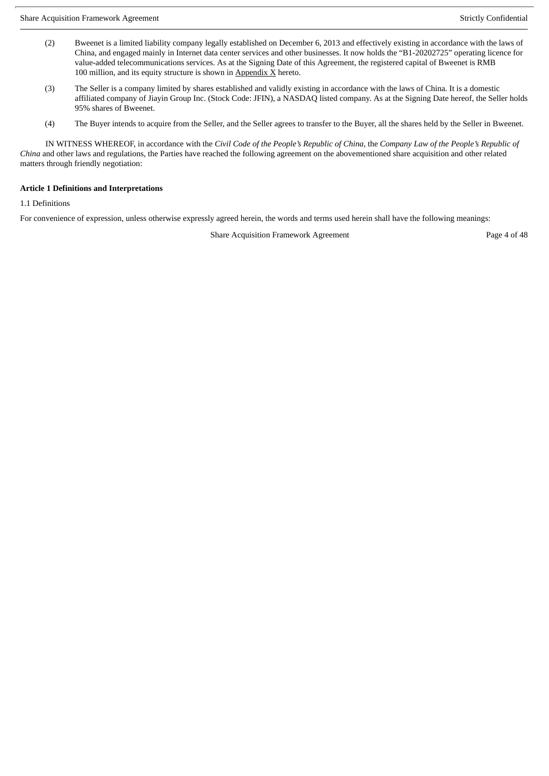- (2) Bweenet is a limited liability company legally established on December 6, 2013 and effectively existing in accordance with the laws of China, and engaged mainly in Internet data center services and other businesses. It now holds the "B1-20202725" operating licence for value-added telecommunications services. As at the Signing Date of this Agreement, the registered capital of Bweenet is RMB 100 million, and its equity structure is shown in  $\Delta$ ppendix  $X$  hereto.
- (3) The Seller is a company limited by shares established and validly existing in accordance with the laws of China. It is a domestic affiliated company of Jiayin Group Inc. (Stock Code: JFIN), a NASDAQ listed company. As at the Signing Date hereof, the Seller holds 95% shares of Bweenet.
- (4) The Buyer intends to acquire from the Seller, and the Seller agrees to transfer to the Buyer, all the shares held by the Seller in Bweenet.

IN WITNESS WHEREOF, in accordance with the Civil Code of the People's Republic of China, the Company Law of the People's Republic of *China* and other laws and regulations, the Parties have reached the following agreement on the abovementioned share acquisition and other related matters through friendly negotiation:

#### **Article 1 Definitions and Interpretations**

1.1 Definitions

For convenience of expression, unless otherwise expressly agreed herein, the words and terms used herein shall have the following meanings:

Share Acquisition Framework Agreement **Page 1 of 48** Page 4 of 48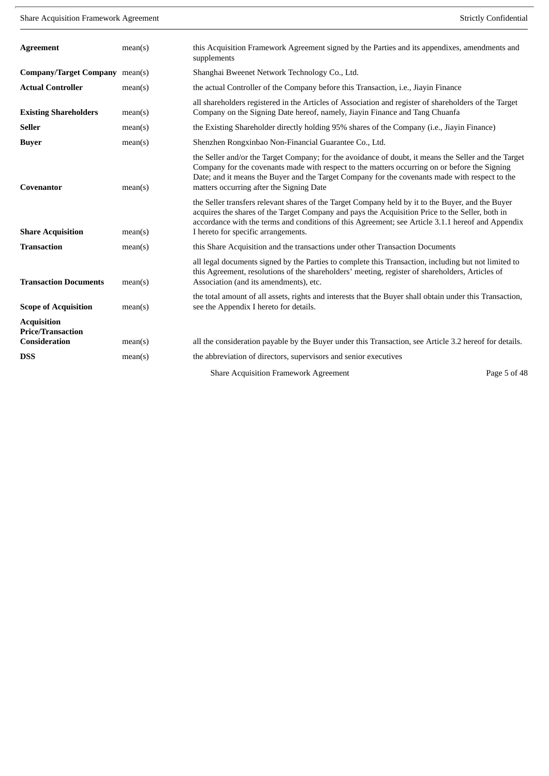Share Acquisition Framework Agreement **Strictly Confidential** 

| <b>Agreement</b>                                                       | mean(s) | this Acquisition Framework Agreement signed by the Parties and its appendixes, amendments and<br>supplements                                                                                                                                                                                                                                        |  |
|------------------------------------------------------------------------|---------|-----------------------------------------------------------------------------------------------------------------------------------------------------------------------------------------------------------------------------------------------------------------------------------------------------------------------------------------------------|--|
| Company/Target Company mean(s)                                         |         | Shanghai Bweenet Network Technology Co., Ltd.                                                                                                                                                                                                                                                                                                       |  |
| <b>Actual Controller</b>                                               | mean(s) | the actual Controller of the Company before this Transaction, <i>i.e.</i> , Jiayin Finance                                                                                                                                                                                                                                                          |  |
| <b>Existing Shareholders</b><br>mean(s)                                |         | all shareholders registered in the Articles of Association and register of shareholders of the Target<br>Company on the Signing Date hereof, namely, Jiayin Finance and Tang Chuanfa                                                                                                                                                                |  |
| <b>Seller</b>                                                          | mean(s) | the Existing Shareholder directly holding 95% shares of the Company (i.e., Jiayin Finance)                                                                                                                                                                                                                                                          |  |
| mean(s)<br><b>Buyer</b>                                                |         | Shenzhen Rongxinbao Non-Financial Guarantee Co., Ltd.                                                                                                                                                                                                                                                                                               |  |
| Covenantor                                                             | mean(s) | the Seller and/or the Target Company; for the avoidance of doubt, it means the Seller and the Target<br>Company for the covenants made with respect to the matters occurring on or before the Signing<br>Date; and it means the Buyer and the Target Company for the covenants made with respect to the<br>matters occurring after the Signing Date |  |
| <b>Share Acquisition</b>                                               | mean(s) | the Seller transfers relevant shares of the Target Company held by it to the Buyer, and the Buyer<br>acquires the shares of the Target Company and pays the Acquisition Price to the Seller, both in<br>accordance with the terms and conditions of this Agreement; see Article 3.1.1 hereof and Appendix<br>I hereto for specific arrangements.    |  |
| <b>Transaction</b>                                                     | mean(s) | this Share Acquisition and the transactions under other Transaction Documents                                                                                                                                                                                                                                                                       |  |
| <b>Transaction Documents</b>                                           | mean(s) | all legal documents signed by the Parties to complete this Transaction, including but not limited to<br>this Agreement, resolutions of the shareholders' meeting, register of shareholders, Articles of<br>Association (and its amendments), etc.                                                                                                   |  |
| <b>Scope of Acquisition</b>                                            | mean(s) | the total amount of all assets, rights and interests that the Buyer shall obtain under this Transaction,<br>see the Appendix I hereto for details.                                                                                                                                                                                                  |  |
| <b>Acquisition</b><br><b>Price/Transaction</b><br><b>Consideration</b> | mean(s) | all the consideration payable by the Buyer under this Transaction, see Article 3.2 hereof for details.                                                                                                                                                                                                                                              |  |
| <b>DSS</b>                                                             | mean(s) | the abbreviation of directors, supervisors and senior executives                                                                                                                                                                                                                                                                                    |  |
|                                                                        |         |                                                                                                                                                                                                                                                                                                                                                     |  |

Share Acquisition Framework Agreement Page 5 of 48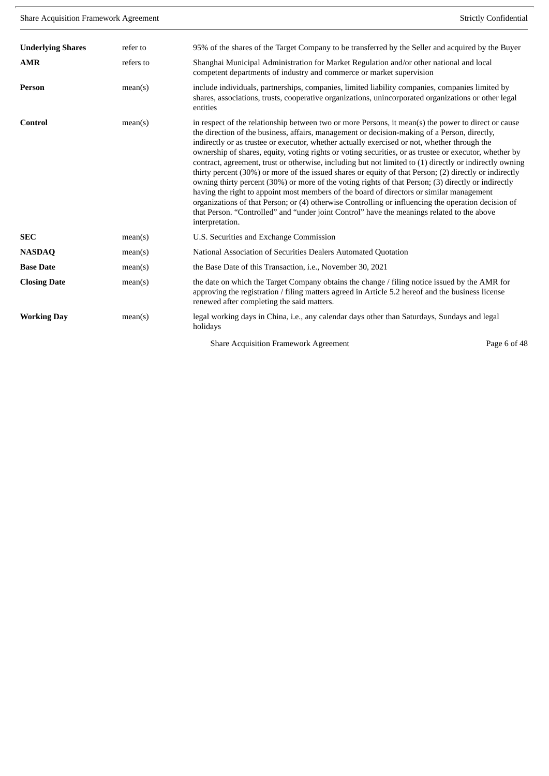| <b>Strictly Confidential</b><br><b>Share Acquisition Framework Agreement</b> |           |                                                                                                                                                                                                                                                                                                                                                                                                                                                                                                                                                                                                                                                                                                                                                                                                                                                                                                                                                                                                                                                               |  |
|------------------------------------------------------------------------------|-----------|---------------------------------------------------------------------------------------------------------------------------------------------------------------------------------------------------------------------------------------------------------------------------------------------------------------------------------------------------------------------------------------------------------------------------------------------------------------------------------------------------------------------------------------------------------------------------------------------------------------------------------------------------------------------------------------------------------------------------------------------------------------------------------------------------------------------------------------------------------------------------------------------------------------------------------------------------------------------------------------------------------------------------------------------------------------|--|
| <b>Underlying Shares</b>                                                     | refer to  | 95% of the shares of the Target Company to be transferred by the Seller and acquired by the Buyer                                                                                                                                                                                                                                                                                                                                                                                                                                                                                                                                                                                                                                                                                                                                                                                                                                                                                                                                                             |  |
| <b>AMR</b>                                                                   | refers to | Shanghai Municipal Administration for Market Regulation and/or other national and local<br>competent departments of industry and commerce or market supervision                                                                                                                                                                                                                                                                                                                                                                                                                                                                                                                                                                                                                                                                                                                                                                                                                                                                                               |  |
| Person                                                                       | mean(s)   | include individuals, partnerships, companies, limited liability companies, companies limited by<br>shares, associations, trusts, cooperative organizations, unincorporated organizations or other legal<br>entities                                                                                                                                                                                                                                                                                                                                                                                                                                                                                                                                                                                                                                                                                                                                                                                                                                           |  |
| Control                                                                      | mean(s)   | in respect of the relationship between two or more Persons, it mean(s) the power to direct or cause<br>the direction of the business, affairs, management or decision-making of a Person, directly,<br>indirectly or as trustee or executor, whether actually exercised or not, whether through the<br>ownership of shares, equity, voting rights or voting securities, or as trustee or executor, whether by<br>contract, agreement, trust or otherwise, including but not limited to (1) directly or indirectly owning<br>thirty percent (30%) or more of the issued shares or equity of that Person; (2) directly or indirectly<br>owning thirty percent (30%) or more of the voting rights of that Person; (3) directly or indirectly<br>having the right to appoint most members of the board of directors or similar management<br>organizations of that Person; or (4) otherwise Controlling or influencing the operation decision of<br>that Person. "Controlled" and "under joint Control" have the meanings related to the above<br>interpretation. |  |
| <b>SEC</b>                                                                   | mean(s)   | U.S. Securities and Exchange Commission                                                                                                                                                                                                                                                                                                                                                                                                                                                                                                                                                                                                                                                                                                                                                                                                                                                                                                                                                                                                                       |  |
| <b>NASDAQ</b>                                                                | mean(s)   | National Association of Securities Dealers Automated Quotation                                                                                                                                                                                                                                                                                                                                                                                                                                                                                                                                                                                                                                                                                                                                                                                                                                                                                                                                                                                                |  |
| <b>Base Date</b>                                                             | mean(s)   | the Base Date of this Transaction, i.e., November 30, 2021                                                                                                                                                                                                                                                                                                                                                                                                                                                                                                                                                                                                                                                                                                                                                                                                                                                                                                                                                                                                    |  |
| <b>Closing Date</b>                                                          | mean(s)   | the date on which the Target Company obtains the change / filing notice issued by the AMR for<br>approving the registration / filing matters agreed in Article 5.2 hereof and the business license<br>renewed after completing the said matters.                                                                                                                                                                                                                                                                                                                                                                                                                                                                                                                                                                                                                                                                                                                                                                                                              |  |
| <b>Working Day</b>                                                           | mean(s)   | legal working days in China, i.e., any calendar days other than Saturdays, Sundays and legal<br>holidays                                                                                                                                                                                                                                                                                                                                                                                                                                                                                                                                                                                                                                                                                                                                                                                                                                                                                                                                                      |  |

Share Acquisition Framework Agreement Page 6 of 48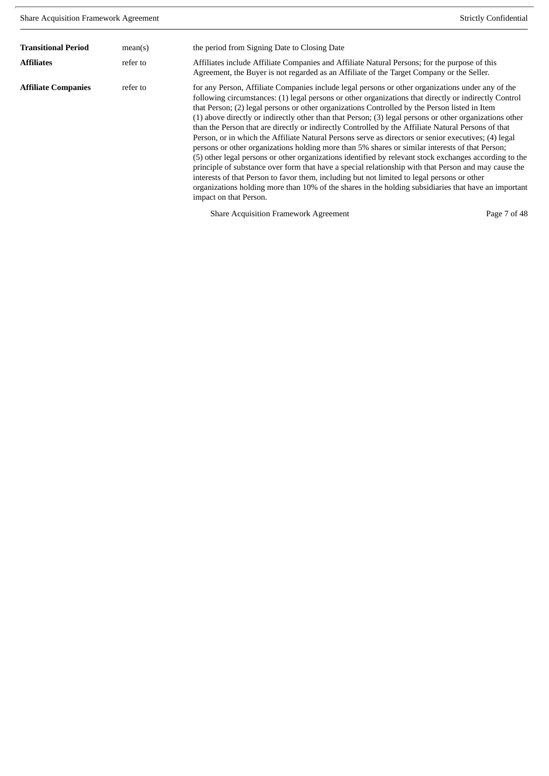| <b>Share Acquisition Framework Agreement</b> |          | <b>Strictly Confidential</b>                                                                                                                                                                                                                                                                                                                                                                                                                                                                                                                                                                                                                                                                                                                                                                                                                                                                                                                                                                                                                                                                                                                                                                |
|----------------------------------------------|----------|---------------------------------------------------------------------------------------------------------------------------------------------------------------------------------------------------------------------------------------------------------------------------------------------------------------------------------------------------------------------------------------------------------------------------------------------------------------------------------------------------------------------------------------------------------------------------------------------------------------------------------------------------------------------------------------------------------------------------------------------------------------------------------------------------------------------------------------------------------------------------------------------------------------------------------------------------------------------------------------------------------------------------------------------------------------------------------------------------------------------------------------------------------------------------------------------|
| <b>Transitional Period</b>                   | mean(s)  | the period from Signing Date to Closing Date                                                                                                                                                                                                                                                                                                                                                                                                                                                                                                                                                                                                                                                                                                                                                                                                                                                                                                                                                                                                                                                                                                                                                |
| <b>Affiliates</b>                            | refer to | Affiliates include Affiliate Companies and Affiliate Natural Persons; for the purpose of this<br>Agreement, the Buyer is not regarded as an Affiliate of the Target Company or the Seller.                                                                                                                                                                                                                                                                                                                                                                                                                                                                                                                                                                                                                                                                                                                                                                                                                                                                                                                                                                                                  |
| <b>Affiliate Companies</b>                   | refer to | for any Person, Affiliate Companies include legal persons or other organizations under any of the<br>following circumstances: (1) legal persons or other organizations that directly or indirectly Control<br>that Person; (2) legal persons or other organizations Controlled by the Person listed in Item<br>(1) above directly or indirectly other than that Person; (3) legal persons or other organizations other<br>than the Person that are directly or indirectly Controlled by the Affiliate Natural Persons of that<br>Person, or in which the Affiliate Natural Persons serve as directors or senior executives; (4) legal<br>persons or other organizations holding more than 5% shares or similar interests of that Person;<br>(5) other legal persons or other organizations identified by relevant stock exchanges according to the<br>principle of substance over form that have a special relationship with that Person and may cause the<br>interests of that Person to favor them, including but not limited to legal persons or other<br>organizations holding more than 10% of the shares in the holding subsidiaries that have an important<br>impact on that Person. |

Share Acquisition Framework Agreement Page 7 of 48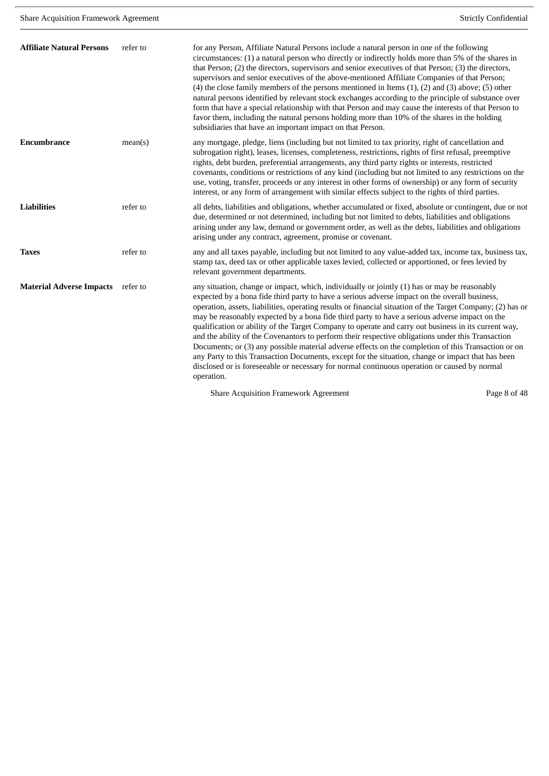| <b>Affiliate Natural Persons</b> | refer to | for any Person, Affiliate Natural Persons include a natural person in one of the following<br>circumstances: (1) a natural person who directly or indirectly holds more than 5% of the shares in<br>that Person; (2) the directors, supervisors and senior executives of that Person; (3) the directors,<br>supervisors and senior executives of the above-mentioned Affiliate Companies of that Person;<br>$(4)$ the close family members of the persons mentioned in Items $(1)$ , $(2)$ and $(3)$ above; $(5)$ other<br>natural persons identified by relevant stock exchanges according to the principle of substance over<br>form that have a special relationship with that Person and may cause the interests of that Person to<br>favor them, including the natural persons holding more than 10% of the shares in the holding<br>subsidiaries that have an important impact on that Person.                                                |
|----------------------------------|----------|-----------------------------------------------------------------------------------------------------------------------------------------------------------------------------------------------------------------------------------------------------------------------------------------------------------------------------------------------------------------------------------------------------------------------------------------------------------------------------------------------------------------------------------------------------------------------------------------------------------------------------------------------------------------------------------------------------------------------------------------------------------------------------------------------------------------------------------------------------------------------------------------------------------------------------------------------------|
| Encumbrance                      | mean(s)  | any mortgage, pledge, liens (including but not limited to tax priority, right of cancellation and<br>subrogation right), leases, licenses, completeness, restrictions, rights of first refusal, preemptive<br>rights, debt burden, preferential arrangements, any third party rights or interests, restricted<br>covenants, conditions or restrictions of any kind (including but not limited to any restrictions on the<br>use, voting, transfer, proceeds or any interest in other forms of ownership) or any form of security<br>interest, or any form of arrangement with similar effects subject to the rights of third parties.                                                                                                                                                                                                                                                                                                               |
| <b>Liabilities</b>               | refer to | all debts, liabilities and obligations, whether accumulated or fixed, absolute or contingent, due or not<br>due, determined or not determined, including but not limited to debts, liabilities and obligations<br>arising under any law, demand or government order, as well as the debts, liabilities and obligations<br>arising under any contract, agreement, promise or covenant.                                                                                                                                                                                                                                                                                                                                                                                                                                                                                                                                                               |
| <b>Taxes</b>                     | refer to | any and all taxes payable, including but not limited to any value-added tax, income tax, business tax,<br>stamp tax, deed tax or other applicable taxes levied, collected or apportioned, or fees levied by<br>relevant government departments.                                                                                                                                                                                                                                                                                                                                                                                                                                                                                                                                                                                                                                                                                                     |
| <b>Material Adverse Impacts</b>  | refer to | any situation, change or impact, which, individually or jointly (1) has or may be reasonably<br>expected by a bona fide third party to have a serious adverse impact on the overall business,<br>operation, assets, liabilities, operating results or financial situation of the Target Company; (2) has or<br>may be reasonably expected by a bona fide third party to have a serious adverse impact on the<br>qualification or ability of the Target Company to operate and carry out business in its current way,<br>and the ability of the Covenantors to perform their respective obligations under this Transaction<br>Documents; or (3) any possible material adverse effects on the completion of this Transaction or on<br>any Party to this Transaction Documents, except for the situation, change or impact that has been<br>disclosed or is foreseeable or necessary for normal continuous operation or caused by normal<br>operation. |

Share Acquisition Framework Agreement Page 8 of 48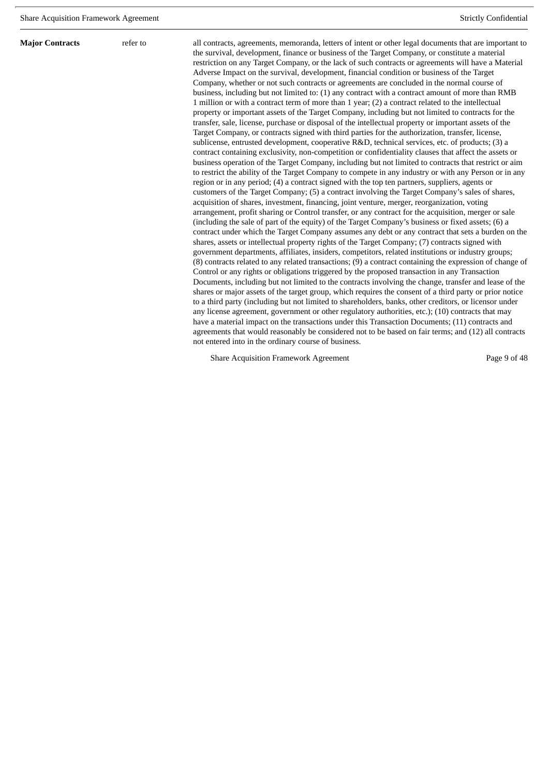**Major Contracts** refer to all contracts, agreements, memoranda, letters of intent or other legal documents that are important to the survival, development, finance or business of the Target Company, or constitute a material restriction on any Target Company, or the lack of such contracts or agreements will have a Material Adverse Impact on the survival, development, financial condition or business of the Target Company, whether or not such contracts or agreements are concluded in the normal course of business, including but not limited to: (1) any contract with a contract amount of more than RMB 1 million or with a contract term of more than 1 year; (2) a contract related to the intellectual property or important assets of the Target Company, including but not limited to contracts for the transfer, sale, license, purchase or disposal of the intellectual property or important assets of the Target Company, or contracts signed with third parties for the authorization, transfer, license, sublicense, entrusted development, cooperative R&D, technical services, etc. of products; (3) a contract containing exclusivity, non-competition or confidentiality clauses that affect the assets or business operation of the Target Company, including but not limited to contracts that restrict or aim to restrict the ability of the Target Company to compete in any industry or with any Person or in any region or in any period; (4) a contract signed with the top ten partners, suppliers, agents or customers of the Target Company; (5) a contract involving the Target Company's sales of shares, acquisition of shares, investment, financing, joint venture, merger, reorganization, voting arrangement, profit sharing or Control transfer, or any contract for the acquisition, merger or sale (including the sale of part of the equity) of the Target Company's business or fixed assets; (6) a contract under which the Target Company assumes any debt or any contract that sets a burden on the shares, assets or intellectual property rights of the Target Company; (7) contracts signed with government departments, affiliates, insiders, competitors, related institutions or industry groups; (8) contracts related to any related transactions; (9) a contract containing the expression of change of Control or any rights or obligations triggered by the proposed transaction in any Transaction Documents, including but not limited to the contracts involving the change, transfer and lease of the shares or major assets of the target group, which requires the consent of a third party or prior notice to a third party (including but not limited to shareholders, banks, other creditors, or licensor under any license agreement, government or other regulatory authorities, etc.); (10) contracts that may have a material impact on the transactions under this Transaction Documents; (11) contracts and agreements that would reasonably be considered not to be based on fair terms; and (12) all contracts not entered into in the ordinary course of business.

Share Acquisition Framework Agreement **Page 9 of 48** Page 9 of 48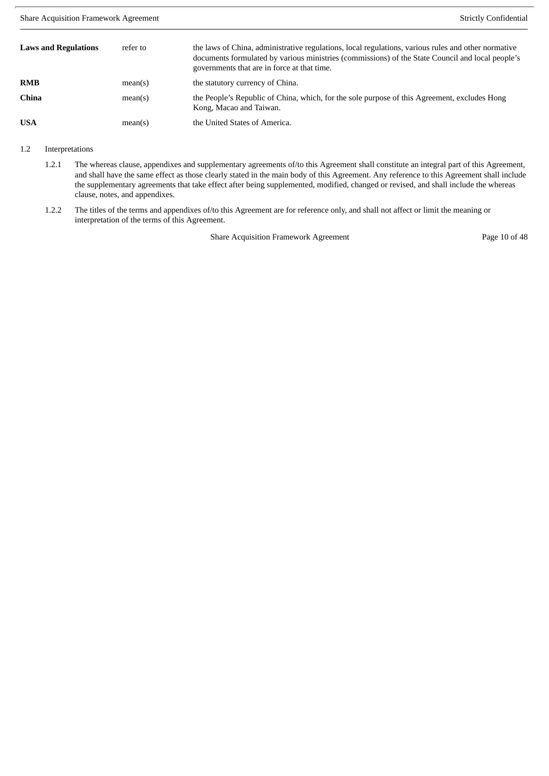Share Acquisition Framework Agreement Strictly Confidential Strictly Confidential

| <b>Laws and Regulations</b> | refer to | the laws of China, administrative regulations, local regulations, various rules and other normative<br>documents formulated by various ministries (commissions) of the State Council and local people's<br>governments that are in force at that time. |
|-----------------------------|----------|--------------------------------------------------------------------------------------------------------------------------------------------------------------------------------------------------------------------------------------------------------|
| <b>RMB</b>                  | mean(s)  | the statutory currency of China.                                                                                                                                                                                                                       |
| <b>China</b>                | mean(s)  | the People's Republic of China, which, for the sole purpose of this Agreement, excludes Hong<br>Kong, Macao and Taiwan.                                                                                                                                |
| <b>USA</b>                  | mean(s)  | the United States of America.                                                                                                                                                                                                                          |

#### 1.2 Interpretations

- 1.2.1 The whereas clause, appendixes and supplementary agreements of/to this Agreement shall constitute an integral part of this Agreement, and shall have the same effect as those clearly stated in the main body of this Agreement. Any reference to this Agreement shall include the supplementary agreements that take effect after being supplemented, modified, changed or revised, and shall include the whereas clause, notes, and appendixes.
- 1.2.2 The titles of the terms and appendixes of/to this Agreement are for reference only, and shall not affect or limit the meaning or interpretation of the terms of this Agreement.

Share Acquisition Framework Agreement Page 10 of 48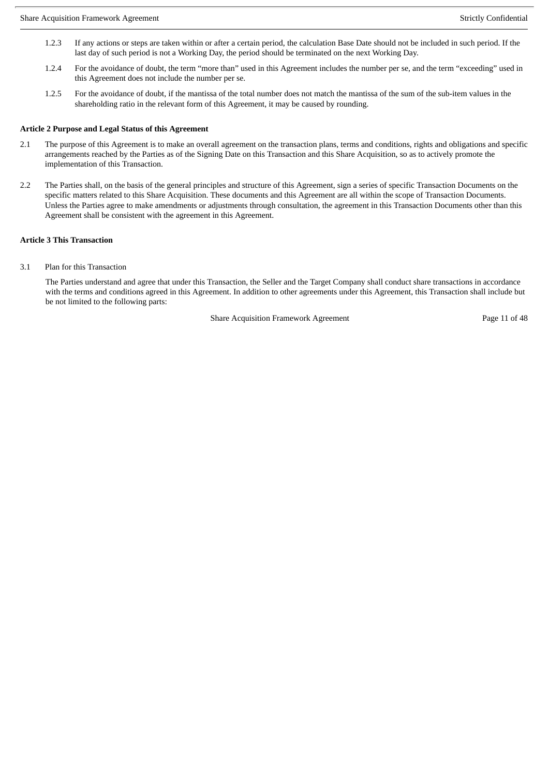- 1.2.3 If any actions or steps are taken within or after a certain period, the calculation Base Date should not be included in such period. If the last day of such period is not a Working Day, the period should be terminated on the next Working Day.
- 1.2.4 For the avoidance of doubt, the term "more than" used in this Agreement includes the number per se, and the term "exceeding" used in this Agreement does not include the number per se.
- 1.2.5 For the avoidance of doubt, if the mantissa of the total number does not match the mantissa of the sum of the sub-item values in the shareholding ratio in the relevant form of this Agreement, it may be caused by rounding.

#### **Article 2 Purpose and Legal Status of this Agreement**

- 2.1 The purpose of this Agreement is to make an overall agreement on the transaction plans, terms and conditions, rights and obligations and specific arrangements reached by the Parties as of the Signing Date on this Transaction and this Share Acquisition, so as to actively promote the implementation of this Transaction.
- 2.2 The Parties shall, on the basis of the general principles and structure of this Agreement, sign a series of specific Transaction Documents on the specific matters related to this Share Acquisition. These documents and this Agreement are all within the scope of Transaction Documents. Unless the Parties agree to make amendments or adjustments through consultation, the agreement in this Transaction Documents other than this Agreement shall be consistent with the agreement in this Agreement.

#### **Article 3 This Transaction**

3.1 Plan for this Transaction

The Parties understand and agree that under this Transaction, the Seller and the Target Company shall conduct share transactions in accordance with the terms and conditions agreed in this Agreement. In addition to other agreements under this Agreement, this Transaction shall include but be not limited to the following parts:

Share Acquisition Framework Agreement **Page 11** of 48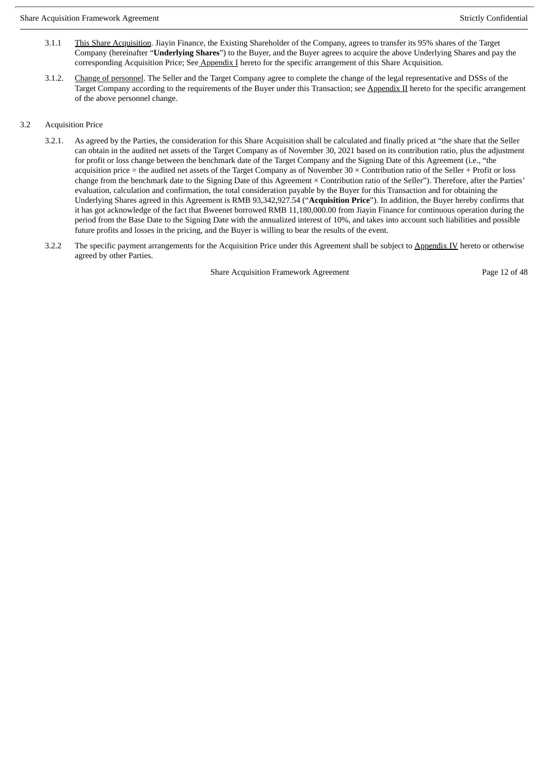- 3.1.1 This Share Acquisition. Jiayin Finance, the Existing Shareholder of the Company, agrees to transfer its 95% shares of the Target Company (hereinafter "**Underlying Shares**") to the Buyer, and the Buyer agrees to acquire the above Underlying Shares and pay the corresponding Acquisition Price; See Appendix I hereto for the specific arrangement of this Share Acquisition.
- 3.1.2. Change of personnel. The Seller and the Target Company agree to complete the change of the legal representative and DSSs of the Target Company according to the requirements of the Buyer under this Transaction; see Appendix II hereto for the specific arrangement of the above personnel change.

#### 3.2 Acquisition Price

- 3.2.1. As agreed by the Parties, the consideration for this Share Acquisition shall be calculated and finally priced at "the share that the Seller can obtain in the audited net assets of the Target Company as of November 30, 2021 based on its contribution ratio, plus the adjustment for profit or loss change between the benchmark date of the Target Company and the Signing Date of this Agreement (i.e., "the acquisition price = the audited net assets of the Target Company as of November  $30 \times$  Contribution ratio of the Seller + Profit or loss change from the benchmark date to the Signing Date of this Agreement × Contribution ratio of the Seller"). Therefore, after the Parties' evaluation, calculation and confirmation, the total consideration payable by the Buyer for this Transaction and for obtaining the Underlying Shares agreed in this Agreement is RMB 93,342,927.54 ("**Acquisition Price**"). In addition, the Buyer hereby confirms that it has got acknowledge of the fact that Bweenet borrowed RMB 11,180,000.00 from Jiayin Finance for continuous operation during the period from the Base Date to the Signing Date with the annualized interest of 10%, and takes into account such liabilities and possible future profits and losses in the pricing, and the Buyer is willing to bear the results of the event.
- 3.2.2 The specific payment arrangements for the Acquisition Price under this Agreement shall be subject to Appendix IV hereto or otherwise agreed by other Parties.

Share Acquisition Framework Agreement Page 12 of 48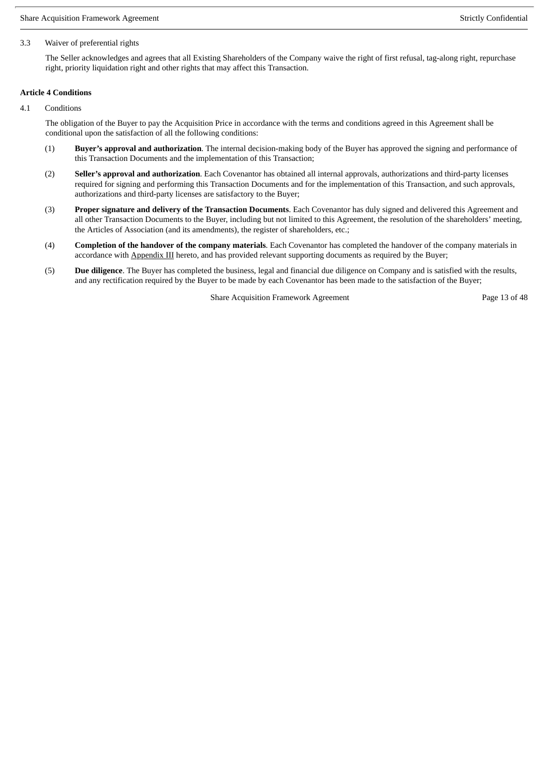#### 3.3 Waiver of preferential rights

The Seller acknowledges and agrees that all Existing Shareholders of the Company waive the right of first refusal, tag-along right, repurchase right, priority liquidation right and other rights that may affect this Transaction.

#### **Article 4 Conditions**

4.1 Conditions

The obligation of the Buyer to pay the Acquisition Price in accordance with the terms and conditions agreed in this Agreement shall be conditional upon the satisfaction of all the following conditions:

- (1) **Buyer's approval and authorization**. The internal decision-making body of the Buyer has approved the signing and performance of this Transaction Documents and the implementation of this Transaction;
- (2) **Seller's approval and authorization**. Each Covenantor has obtained all internal approvals, authorizations and third-party licenses required for signing and performing this Transaction Documents and for the implementation of this Transaction, and such approvals, authorizations and third-party licenses are satisfactory to the Buyer;
- (3) **Proper signature and delivery of the Transaction Documents**. Each Covenantor has duly signed and delivered this Agreement and all other Transaction Documents to the Buyer, including but not limited to this Agreement, the resolution of the shareholders' meeting, the Articles of Association (and its amendments), the register of shareholders, etc.;
- (4) **Completion of the handover of the company materials**. Each Covenantor has completed the handover of the company materials in accordance with Appendix III hereto, and has provided relevant supporting documents as required by the Buyer;
- (5) **Due diligence**. The Buyer has completed the business, legal and financial due diligence on Company and is satisfied with the results, and any rectification required by the Buyer to be made by each Covenantor has been made to the satisfaction of the Buyer;

Share Acquisition Framework Agreement Page 13 of 48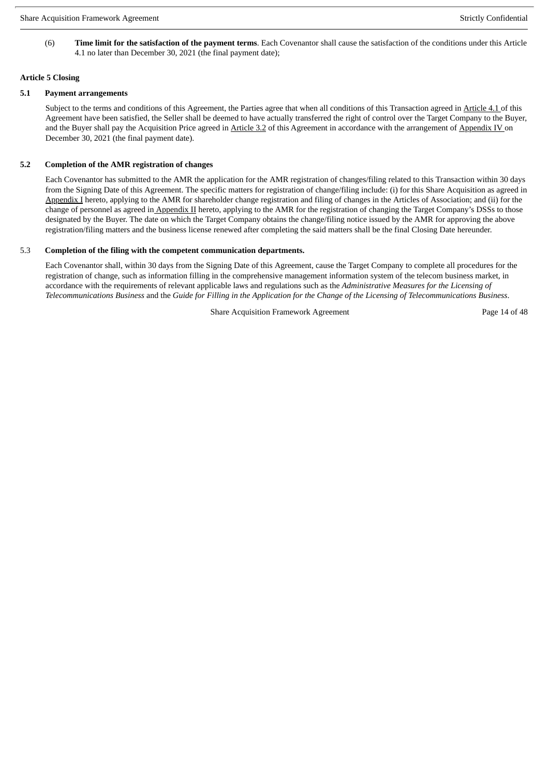(6) **Time limit for the satisfaction of the payment terms**. Each Covenantor shall cause the satisfaction of the conditions under this Article 4.1 no later than December 30, 2021 (the final payment date);

#### **Article 5 Closing**

#### **5.1 Payment arrangements**

Subject to the terms and conditions of this Agreement, the Parties agree that when all conditions of this Transaction agreed in Article 4.1 of this Agreement have been satisfied, the Seller shall be deemed to have actually transferred the right of control over the Target Company to the Buyer, and the Buyer shall pay the Acquisition Price agreed in Article 3.2 of this Agreement in accordance with the arrangement of Appendix IV on December 30, 2021 (the final payment date).

#### **5.2 Completion of the AMR registration of changes**

Each Covenantor has submitted to the AMR the application for the AMR registration of changes/filing related to this Transaction within 30 days from the Signing Date of this Agreement. The specific matters for registration of change/filing include: (i) for this Share Acquisition as agreed in Appendix I hereto, applying to the AMR for shareholder change registration and filing of changes in the Articles of Association; and (ii) for the change of personnel as agreed in Appendix II hereto, applying to the AMR for the registration of changing the Target Company's DSSs to those designated by the Buyer. The date on which the Target Company obtains the change/filing notice issued by the AMR for approving the above registration/filing matters and the business license renewed after completing the said matters shall be the final Closing Date hereunder.

#### 5.3 **Completion of the filing with the competent communication departments.**

Each Covenantor shall, within 30 days from the Signing Date of this Agreement, cause the Target Company to complete all procedures for the registration of change, such as information filling in the comprehensive management information system of the telecom business market, in accordance with the requirements of relevant applicable laws and regulations such as the *Administrative Measures for the Licensing of* Telecommunications Business and the Guide for Filling in the Application for the Change of the Licensing of Telecommunications Business.

Share Acquisition Framework Agreement **Page 14 of 48**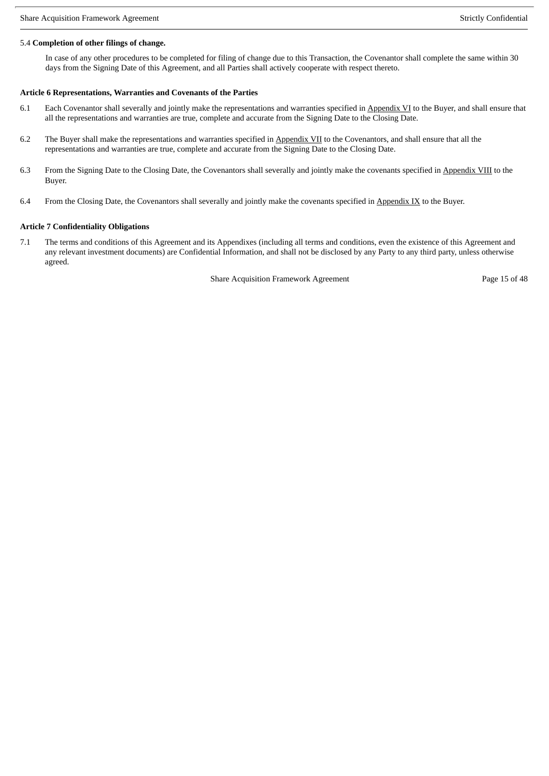#### 5.4 **Completion of other filings of change.**

In case of any other procedures to be completed for filing of change due to this Transaction, the Covenantor shall complete the same within 30 days from the Signing Date of this Agreement, and all Parties shall actively cooperate with respect thereto.

#### **Article 6 Representations, Warranties and Covenants of the Parties**

- 6.1 Each Covenantor shall severally and jointly make the representations and warranties specified in Appendix VI to the Buyer, and shall ensure that all the representations and warranties are true, complete and accurate from the Signing Date to the Closing Date.
- 6.2 The Buyer shall make the representations and warranties specified in Appendix VII to the Covenantors, and shall ensure that all the representations and warranties are true, complete and accurate from the Signing Date to the Closing Date.
- 6.3 From the Signing Date to the Closing Date, the Covenantors shall severally and jointly make the covenants specified in Appendix VIII to the Buyer.
- 6.4 From the Closing Date, the Covenantors shall severally and jointly make the covenants specified in  $\Delta$ ppendix IX to the Buyer.

#### **Article 7 Confidentiality Obligations**

7.1 The terms and conditions of this Agreement and its Appendixes (including all terms and conditions, even the existence of this Agreement and any relevant investment documents) are Confidential Information, and shall not be disclosed by any Party to any third party, unless otherwise agreed.

Share Acquisition Framework Agreement Page 15 of 48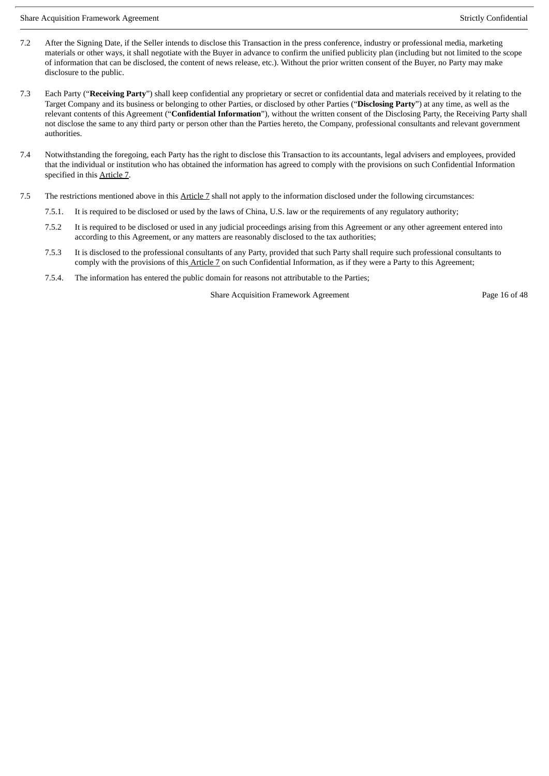- 7.2 After the Signing Date, if the Seller intends to disclose this Transaction in the press conference, industry or professional media, marketing materials or other ways, it shall negotiate with the Buyer in advance to confirm the unified publicity plan (including but not limited to the scope of information that can be disclosed, the content of news release, etc.). Without the prior written consent of the Buyer, no Party may make disclosure to the public.
- 7.3 Each Party ("**Receiving Party**") shall keep confidential any proprietary or secret or confidential data and materials received by it relating to the Target Company and its business or belonging to other Parties, or disclosed by other Parties ("**Disclosing Party**") at any time, as well as the relevant contents of this Agreement ("**Confidential Information**"), without the written consent of the Disclosing Party, the Receiving Party shall not disclose the same to any third party or person other than the Parties hereto, the Company, professional consultants and relevant government authorities.
- 7.4 Notwithstanding the foregoing, each Party has the right to disclose this Transaction to its accountants, legal advisers and employees, provided that the individual or institution who has obtained the information has agreed to comply with the provisions on such Confidential Information specified in this Article 7.
- 7.5 The restrictions mentioned above in this Article 7 shall not apply to the information disclosed under the following circumstances:
	- 7.5.1. It is required to be disclosed or used by the laws of China, U.S. law or the requirements of any regulatory authority;
	- 7.5.2 It is required to be disclosed or used in any judicial proceedings arising from this Agreement or any other agreement entered into according to this Agreement, or any matters are reasonably disclosed to the tax authorities;
	- 7.5.3 It is disclosed to the professional consultants of any Party, provided that such Party shall require such professional consultants to comply with the provisions of this Article 7 on such Confidential Information, as if they were a Party to this Agreement;
	- 7.5.4. The information has entered the public domain for reasons not attributable to the Parties;

Share Acquisition Framework Agreement Page 16 of 48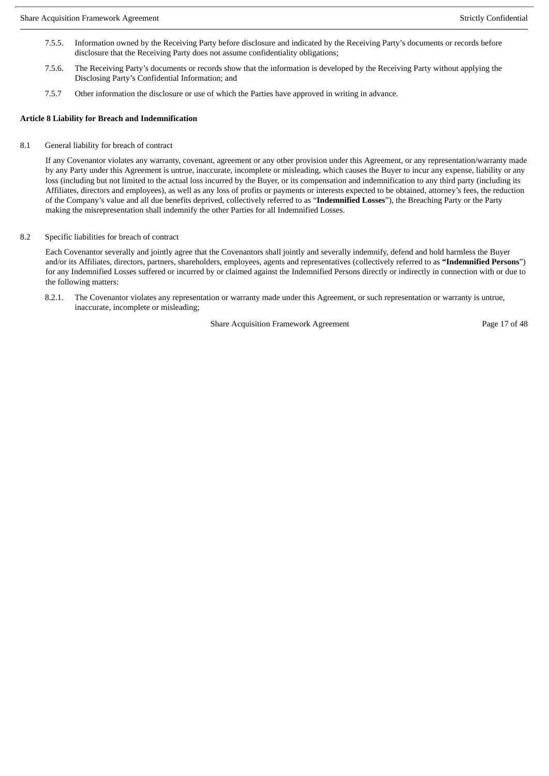- 7.5.5. Information owned by the Receiving Party before disclosure and indicated by the Receiving Party's documents or records before disclosure that the Receiving Party does not assume confidentiality obligations;
- 7.5.6. The Receiving Party's documents or records show that the information is developed by the Receiving Party without applying the Disclosing Party's Confidential Information; and
- 7.5.7 Other information the disclosure or use of which the Parties have approved in writing in advance.

#### **Article 8 Liability for Breach and Indemnification**

8.1 General liability for breach of contract

If any Covenantor violates any warranty, covenant, agreement or any other provision under this Agreement, or any representation/warranty made by any Party under this Agreement is untrue, inaccurate, incomplete or misleading, which causes the Buyer to incur any expense, liability or any loss (including but not limited to the actual loss incurred by the Buyer, or its compensation and indemnification to any third party (including its Affiliates, directors and employees), as well as any loss of profits or payments or interests expected to be obtained, attorney's fees, the reduction of the Company's value and all due benefits deprived, collectively referred to as "**Indemnified Losses**"), the Breaching Party or the Party making the misrepresentation shall indemnify the other Parties for all Indemnified Losses.

#### 8.2 Specific liabilities for breach of contract

Each Covenantor severally and jointly agree that the Covenantors shall jointly and severally indemnify, defend and hold harmless the Buyer and/or its Affiliates, directors, partners, shareholders, employees, agents and representatives (collectively referred to as **"Indemnified Persons**") for any Indemnified Losses suffered or incurred by or claimed against the Indemnified Persons directly or indirectly in connection with or due to the following matters:

8.2.1. The Covenantor violates any representation or warranty made under this Agreement, or such representation or warranty is untrue, inaccurate, incomplete or misleading;

Share Acquisition Framework Agreement Page 17 of 48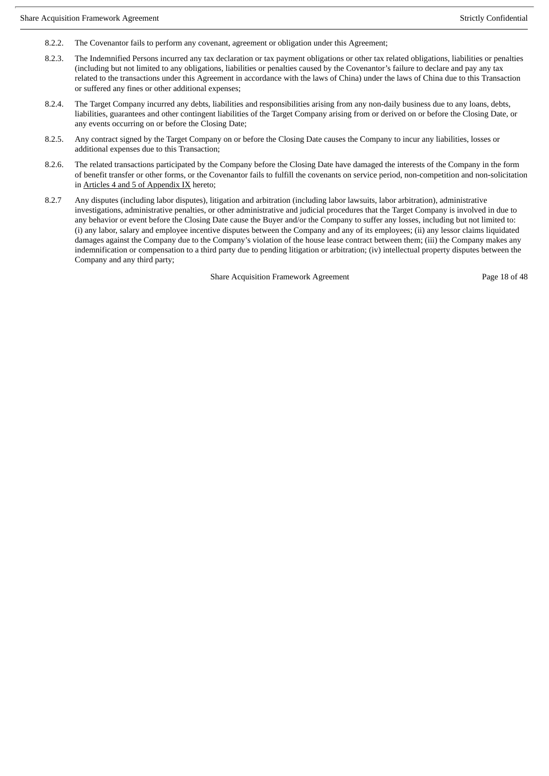- 8.2.2. The Covenantor fails to perform any covenant, agreement or obligation under this Agreement;
- 8.2.3. The Indemnified Persons incurred any tax declaration or tax payment obligations or other tax related obligations, liabilities or penalties (including but not limited to any obligations, liabilities or penalties caused by the Covenantor's failure to declare and pay any tax related to the transactions under this Agreement in accordance with the laws of China) under the laws of China due to this Transaction or suffered any fines or other additional expenses;
- 8.2.4. The Target Company incurred any debts, liabilities and responsibilities arising from any non-daily business due to any loans, debts, liabilities, guarantees and other contingent liabilities of the Target Company arising from or derived on or before the Closing Date, or any events occurring on or before the Closing Date;
- 8.2.5. Any contract signed by the Target Company on or before the Closing Date causes the Company to incur any liabilities, losses or additional expenses due to this Transaction;
- 8.2.6. The related transactions participated by the Company before the Closing Date have damaged the interests of the Company in the form of benefit transfer or other forms, or the Covenantor fails to fulfill the covenants on service period, non-competition and non-solicitation in Articles 4 and 5 of Appendix IX hereto;
- 8.2.7 Any disputes (including labor disputes), litigation and arbitration (including labor lawsuits, labor arbitration), administrative investigations, administrative penalties, or other administrative and judicial procedures that the Target Company is involved in due to any behavior or event before the Closing Date cause the Buyer and/or the Company to suffer any losses, including but not limited to: (i) any labor, salary and employee incentive disputes between the Company and any of its employees; (ii) any lessor claims liquidated damages against the Company due to the Company's violation of the house lease contract between them; (iii) the Company makes any indemnification or compensation to a third party due to pending litigation or arbitration; (iv) intellectual property disputes between the Company and any third party;

Share Acquisition Framework Agreement **Page 18 of 48**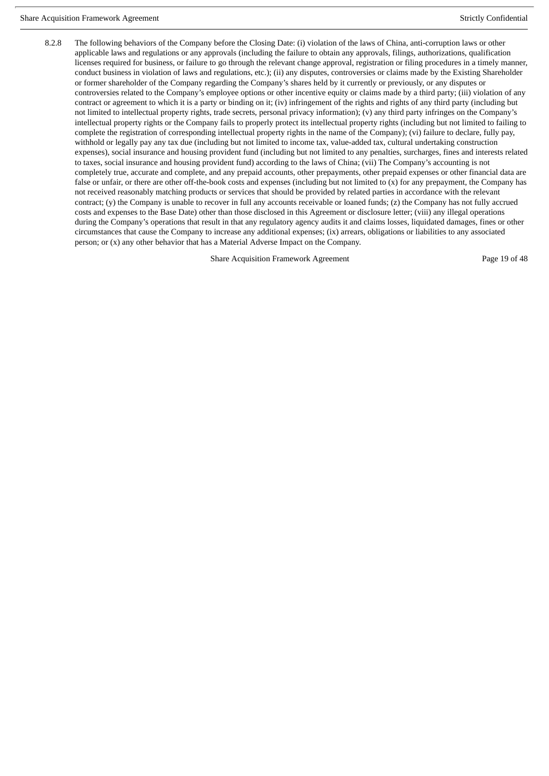8.2.8 The following behaviors of the Company before the Closing Date: (i) violation of the laws of China, anti-corruption laws or other applicable laws and regulations or any approvals (including the failure to obtain any approvals, filings, authorizations, qualification licenses required for business, or failure to go through the relevant change approval, registration or filing procedures in a timely manner, conduct business in violation of laws and regulations, etc.); (ii) any disputes, controversies or claims made by the Existing Shareholder or former shareholder of the Company regarding the Company's shares held by it currently or previously, or any disputes or controversies related to the Company's employee options or other incentive equity or claims made by a third party; (iii) violation of any contract or agreement to which it is a party or binding on it; (iv) infringement of the rights and rights of any third party (including but not limited to intellectual property rights, trade secrets, personal privacy information); (v) any third party infringes on the Company's intellectual property rights or the Company fails to properly protect its intellectual property rights (including but not limited to failing to complete the registration of corresponding intellectual property rights in the name of the Company); (vi) failure to declare, fully pay, withhold or legally pay any tax due (including but not limited to income tax, value-added tax, cultural undertaking construction expenses), social insurance and housing provident fund (including but not limited to any penalties, surcharges, fines and interests related to taxes, social insurance and housing provident fund) according to the laws of China; (vii) The Company's accounting is not completely true, accurate and complete, and any prepaid accounts, other prepayments, other prepaid expenses or other financial data are false or unfair, or there are other off-the-book costs and expenses (including but not limited to (x) for any prepayment, the Company has not received reasonably matching products or services that should be provided by related parties in accordance with the relevant contract; (y) the Company is unable to recover in full any accounts receivable or loaned funds; (z) the Company has not fully accrued costs and expenses to the Base Date) other than those disclosed in this Agreement or disclosure letter; (viii) any illegal operations during the Company's operations that result in that any regulatory agency audits it and claims losses, liquidated damages, fines or other circumstances that cause the Company to increase any additional expenses; (ix) arrears, obligations or liabilities to any associated person; or (x) any other behavior that has a Material Adverse Impact on the Company.

Share Acquisition Framework Agreement **Page 19 of 48**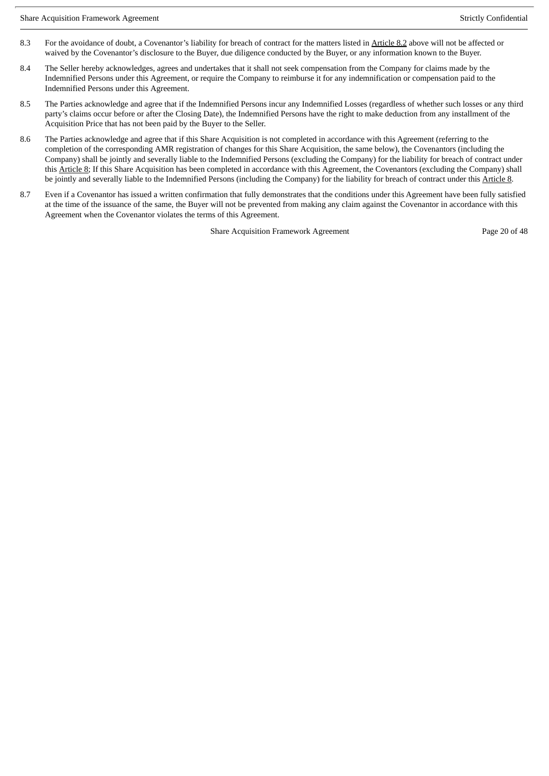- 8.3 For the avoidance of doubt, a Covenantor's liability for breach of contract for the matters listed in Article 8.2 above will not be affected or waived by the Covenantor's disclosure to the Buyer, due diligence conducted by the Buyer, or any information known to the Buyer.
- 8.4 The Seller hereby acknowledges, agrees and undertakes that it shall not seek compensation from the Company for claims made by the Indemnified Persons under this Agreement, or require the Company to reimburse it for any indemnification or compensation paid to the Indemnified Persons under this Agreement.
- 8.5 The Parties acknowledge and agree that if the Indemnified Persons incur any Indemnified Losses (regardless of whether such losses or any third party's claims occur before or after the Closing Date), the Indemnified Persons have the right to make deduction from any installment of the Acquisition Price that has not been paid by the Buyer to the Seller.
- 8.6 The Parties acknowledge and agree that if this Share Acquisition is not completed in accordance with this Agreement (referring to the completion of the corresponding AMR registration of changes for this Share Acquisition, the same below), the Covenantors (including the Company) shall be jointly and severally liable to the Indemnified Persons (excluding the Company) for the liability for breach of contract under this Article 8; If this Share Acquisition has been completed in accordance with this Agreement, the Covenantors (excluding the Company) shall be jointly and severally liable to the Indemnified Persons (including the Company) for the liability for breach of contract under this Article 8.
- 8.7 Even if a Covenantor has issued a written confirmation that fully demonstrates that the conditions under this Agreement have been fully satisfied at the time of the issuance of the same, the Buyer will not be prevented from making any claim against the Covenantor in accordance with this Agreement when the Covenantor violates the terms of this Agreement.

Share Acquisition Framework Agreement Page 20 of 48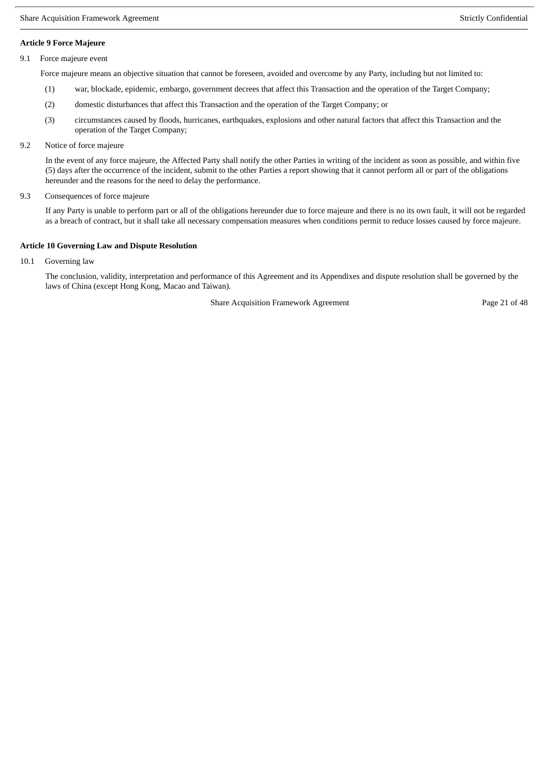#### **Article 9 Force Majeure**

9.1 Force majeure event

Force majeure means an objective situation that cannot be foreseen, avoided and overcome by any Party, including but not limited to:

- (1) war, blockade, epidemic, embargo, government decrees that affect this Transaction and the operation of the Target Company;
- (2) domestic disturbances that affect this Transaction and the operation of the Target Company; or
- (3) circumstances caused by floods, hurricanes, earthquakes, explosions and other natural factors that affect this Transaction and the operation of the Target Company;
- 9.2 Notice of force majeure

In the event of any force majeure, the Affected Party shall notify the other Parties in writing of the incident as soon as possible, and within five (5) days after the occurrence of the incident, submit to the other Parties a report showing that it cannot perform all or part of the obligations hereunder and the reasons for the need to delay the performance.

9.3 Consequences of force majeure

If any Party is unable to perform part or all of the obligations hereunder due to force majeure and there is no its own fault, it will not be regarded as a breach of contract, but it shall take all necessary compensation measures when conditions permit to reduce losses caused by force majeure.

#### **Article 10 Governing Law and Dispute Resolution**

10.1 Governing law

The conclusion, validity, interpretation and performance of this Agreement and its Appendixes and dispute resolution shall be governed by the laws of China (except Hong Kong, Macao and Taiwan).

Share Acquisition Framework Agreement Page 21 of 48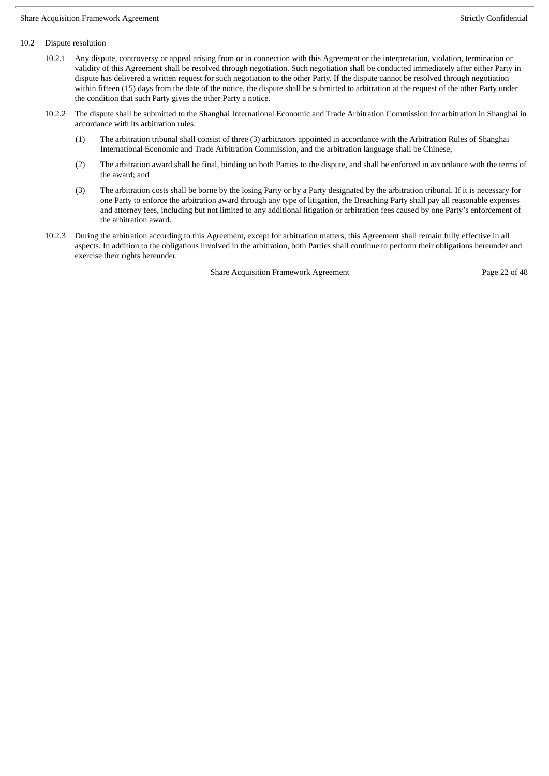- 10.2 Dispute resolution
	- 10.2.1 Any dispute, controversy or appeal arising from or in connection with this Agreement or the interpretation, violation, termination or validity of this Agreement shall be resolved through negotiation. Such negotiation shall be conducted immediately after either Party in dispute has delivered a written request for such negotiation to the other Party. If the dispute cannot be resolved through negotiation within fifteen (15) days from the date of the notice, the dispute shall be submitted to arbitration at the request of the other Party under the condition that such Party gives the other Party a notice.
	- 10.2.2 The dispute shall be submitted to the Shanghai International Economic and Trade Arbitration Commission for arbitration in Shanghai in accordance with its arbitration rules:
		- (1) The arbitration tribunal shall consist of three (3) arbitrators appointed in accordance with the Arbitration Rules of Shanghai International Economic and Trade Arbitration Commission, and the arbitration language shall be Chinese;
		- (2) The arbitration award shall be final, binding on both Parties to the dispute, and shall be enforced in accordance with the terms of the award; and
		- (3) The arbitration costs shall be borne by the losing Party or by a Party designated by the arbitration tribunal. If it is necessary for one Party to enforce the arbitration award through any type of litigation, the Breaching Party shall pay all reasonable expenses and attorney fees, including but not limited to any additional litigation or arbitration fees caused by one Party's enforcement of the arbitration award.
	- 10.2.3 During the arbitration according to this Agreement, except for arbitration matters, this Agreement shall remain fully effective in all aspects. In addition to the obligations involved in the arbitration, both Parties shall continue to perform their obligations hereunder and exercise their rights hereunder.

Share Acquisition Framework Agreement Page 22 of 48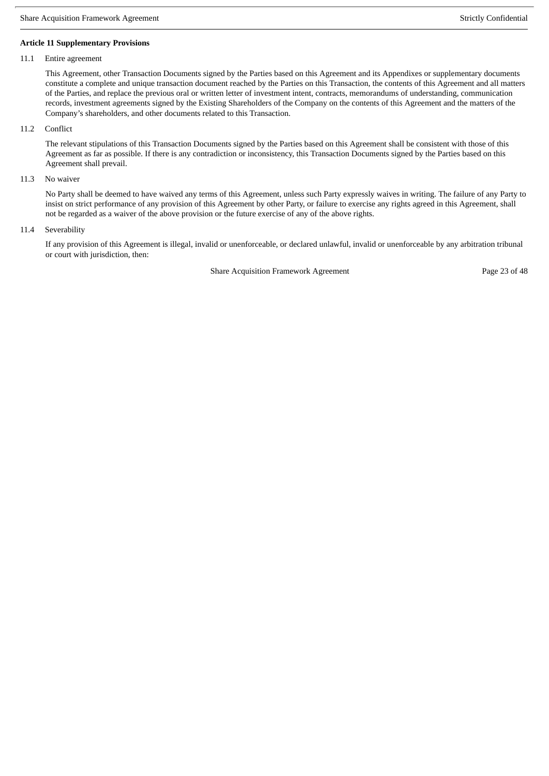#### **Article 11 Supplementary Provisions**

#### 11.1 Entire agreement

This Agreement, other Transaction Documents signed by the Parties based on this Agreement and its Appendixes or supplementary documents constitute a complete and unique transaction document reached by the Parties on this Transaction, the contents of this Agreement and all matters of the Parties, and replace the previous oral or written letter of investment intent, contracts, memorandums of understanding, communication records, investment agreements signed by the Existing Shareholders of the Company on the contents of this Agreement and the matters of the Company's shareholders, and other documents related to this Transaction.

#### 11.2 Conflict

The relevant stipulations of this Transaction Documents signed by the Parties based on this Agreement shall be consistent with those of this Agreement as far as possible. If there is any contradiction or inconsistency, this Transaction Documents signed by the Parties based on this Agreement shall prevail.

#### 11.3 No waiver

No Party shall be deemed to have waived any terms of this Agreement, unless such Party expressly waives in writing. The failure of any Party to insist on strict performance of any provision of this Agreement by other Party, or failure to exercise any rights agreed in this Agreement, shall not be regarded as a waiver of the above provision or the future exercise of any of the above rights.

#### 11.4 Severability

If any provision of this Agreement is illegal, invalid or unenforceable, or declared unlawful, invalid or unenforceable by any arbitration tribunal or court with jurisdiction, then:

Share Acquisition Framework Agreement Page 23 of 48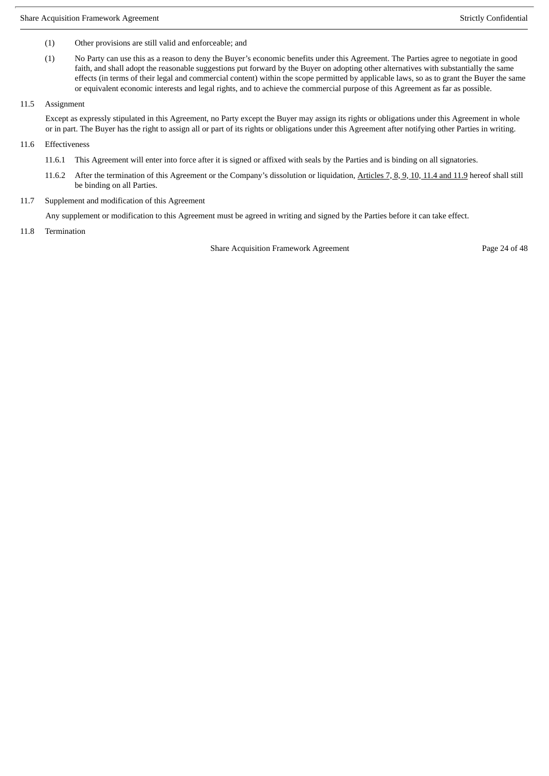- (1) Other provisions are still valid and enforceable; and
- (1) No Party can use this as a reason to deny the Buyer's economic benefits under this Agreement. The Parties agree to negotiate in good faith, and shall adopt the reasonable suggestions put forward by the Buyer on adopting other alternatives with substantially the same effects (in terms of their legal and commercial content) within the scope permitted by applicable laws, so as to grant the Buyer the same or equivalent economic interests and legal rights, and to achieve the commercial purpose of this Agreement as far as possible.

#### 11.5 Assignment

Except as expressly stipulated in this Agreement, no Party except the Buyer may assign its rights or obligations under this Agreement in whole or in part. The Buyer has the right to assign all or part of its rights or obligations under this Agreement after notifying other Parties in writing.

#### 11.6 Effectiveness

- 11.6.1 This Agreement will enter into force after it is signed or affixed with seals by the Parties and is binding on all signatories.
- 11.6.2 After the termination of this Agreement or the Company's dissolution or liquidation, Articles 7, 8, 9, 10, 11.4 and 11.9 hereof shall still be binding on all Parties.
- 11.7 Supplement and modification of this Agreement

Any supplement or modification to this Agreement must be agreed in writing and signed by the Parties before it can take effect.

11.8 Termination

Share Acquisition Framework Agreement **Page 24 of 48**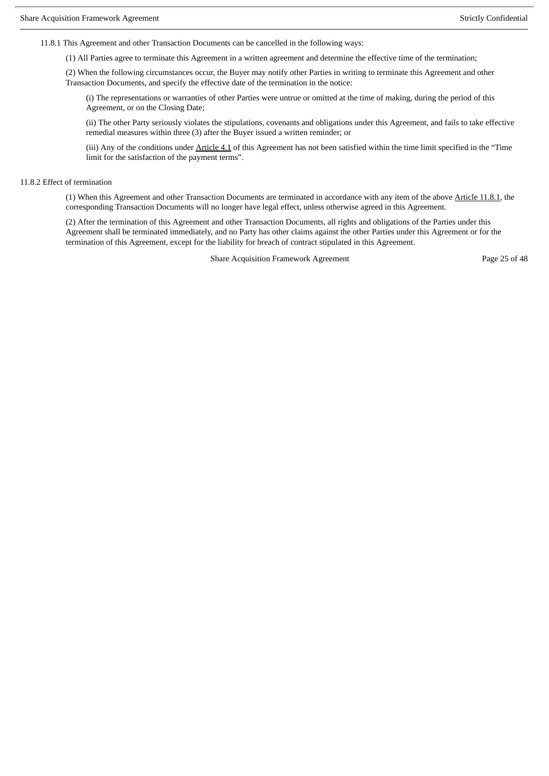11.8.1 This Agreement and other Transaction Documents can be cancelled in the following ways:

(1) All Parties agree to terminate this Agreement in a written agreement and determine the effective time of the termination;

(2) When the following circumstances occur, the Buyer may notify other Parties in writing to terminate this Agreement and other Transaction Documents, and specify the effective date of the termination in the notice:

(i) The representations or warranties of other Parties were untrue or omitted at the time of making, during the period of this Agreement, or on the Closing Date;

(ii) The other Party seriously violates the stipulations, covenants and obligations under this Agreement, and fails to take effective remedial measures within three (3) after the Buyer issued a written reminder; or

(iii) Any of the conditions under Article 4.1 of this Agreement has not been satisfied within the time limit specified in the "Time limit for the satisfaction of the payment terms".

#### 11.8.2 Effect of termination

(1) When this Agreement and other Transaction Documents are terminated in accordance with any item of the above Article 11.8.1, the corresponding Transaction Documents will no longer have legal effect, unless otherwise agreed in this Agreement.

(2) After the termination of this Agreement and other Transaction Documents, all rights and obligations of the Parties under this Agreement shall be terminated immediately, and no Party has other claims against the other Parties under this Agreement or for the termination of this Agreement, except for the liability for breach of contract stipulated in this Agreement.

Share Acquisition Framework Agreement **Page 25** of 48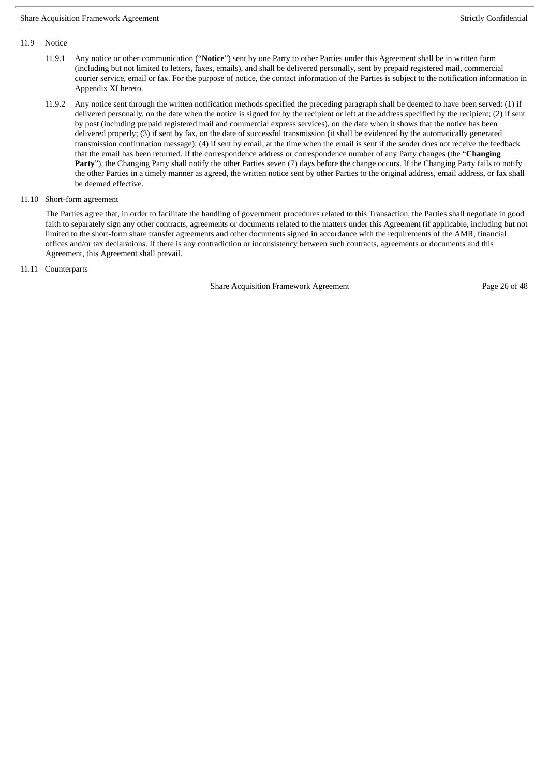#### 11.9 Notice

- 11.9.1 Any notice or other communication ("**Notice**") sent by one Party to other Parties under this Agreement shall be in written form (including but not limited to letters, faxes, emails), and shall be delivered personally, sent by prepaid registered mail, commercial courier service, email or fax. For the purpose of notice, the contact information of the Parties is subject to the notification information in Appendix XI hereto.
- 11.9.2 Any notice sent through the written notification methods specified the preceding paragraph shall be deemed to have been served: (1) if delivered personally, on the date when the notice is signed for by the recipient or left at the address specified by the recipient; (2) if sent by post (including prepaid registered mail and commercial express services), on the date when it shows that the notice has been delivered properly; (3) if sent by fax, on the date of successful transmission (it shall be evidenced by the automatically generated transmission confirmation message); (4) if sent by email, at the time when the email is sent if the sender does not receive the feedback that the email has been returned. If the correspondence address or correspondence number of any Party changes (the "**Changing** Party"), the Changing Party shall notify the other Parties seven (7) days before the change occurs. If the Changing Party fails to notify the other Parties in a timely manner as agreed, the written notice sent by other Parties to the original address, email address, or fax shall be deemed effective.
- 11.10 Short-form agreement

The Parties agree that, in order to facilitate the handling of government procedures related to this Transaction, the Parties shall negotiate in good faith to separately sign any other contracts, agreements or documents related to the matters under this Agreement (if applicable, including but not limited to the short-form share transfer agreements and other documents signed in accordance with the requirements of the AMR, financial offices and/or tax declarations. If there is any contradiction or inconsistency between such contracts, agreements or documents and this Agreement, this Agreement shall prevail.

11.11 Counterparts

Share Acquisition Framework Agreement Page 26 of 48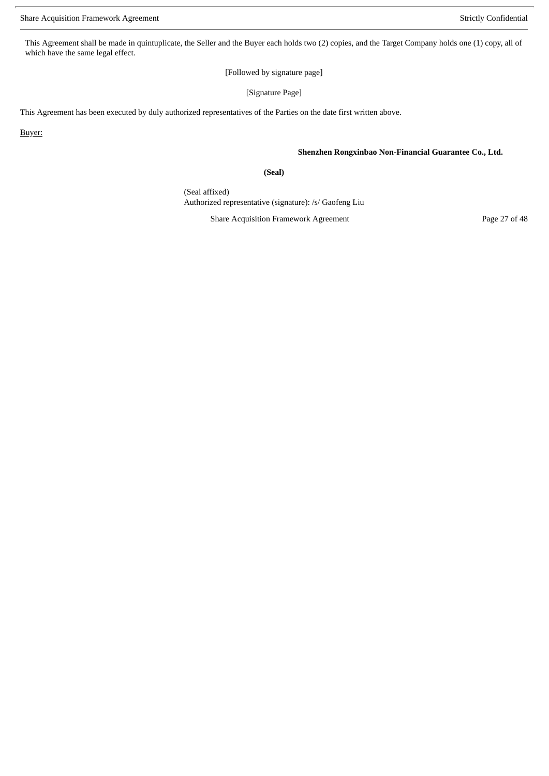Share Acquisition Framework Agreement Strictly Confidential Strictly Confidential

This Agreement shall be made in quintuplicate, the Seller and the Buyer each holds two (2) copies, and the Target Company holds one (1) copy, all of which have the same legal effect.

[Followed by signature page]

[Signature Page]

This Agreement has been executed by duly authorized representatives of the Parties on the date first written above.

Buyer:

#### **Shenzhen Rongxinbao Non-Financial Guarantee Co., Ltd.**

**(Seal)**

(Seal affixed) Authorized representative (signature): /s/ Gaofeng Liu

Share Acquisition Framework Agreement Page 27 of 48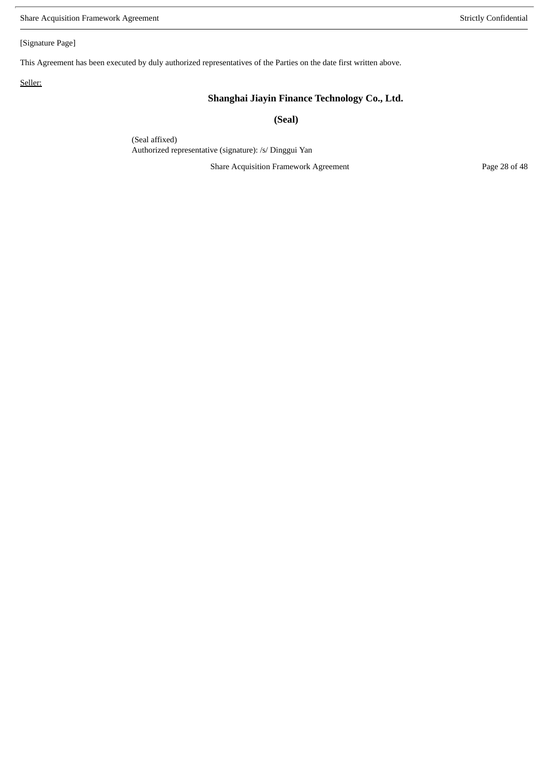Share Acquisition Framework Agreement **Strictly Confidential** 

[Signature Page]

This Agreement has been executed by duly authorized representatives of the Parties on the date first written above.

Seller:

# **Shanghai Jiayin Finance Technology Co., Ltd.**

## **(Seal)**

(Seal affixed) Authorized representative (signature): /s/ Dinggui Yan

Share Acquisition Framework Agreement Page 28 of 48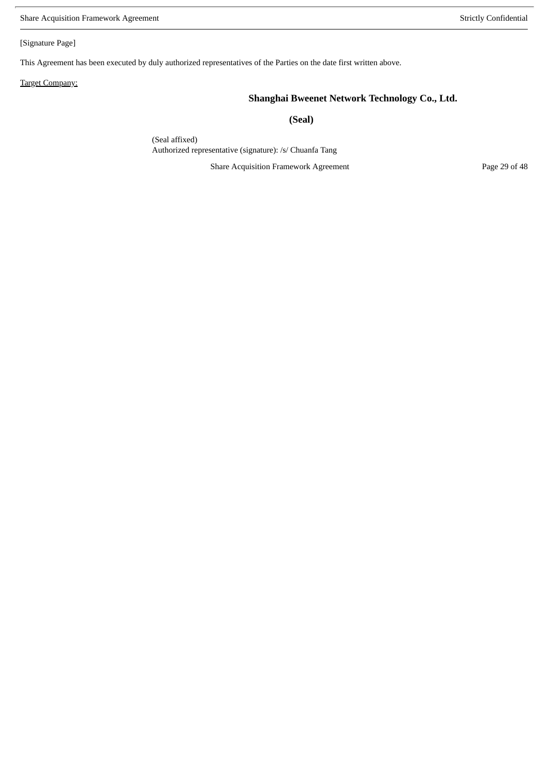Share Acquisition Framework Agreement **Strictly Confidential** 

[Signature Page]

This Agreement has been executed by duly authorized representatives of the Parties on the date first written above.

Target Company:

# **Shanghai Bweenet Network Technology Co., Ltd.**

**(Seal)**

(Seal affixed) Authorized representative (signature): /s/ Chuanfa Tang

Share Acquisition Framework Agreement Page 29 of 48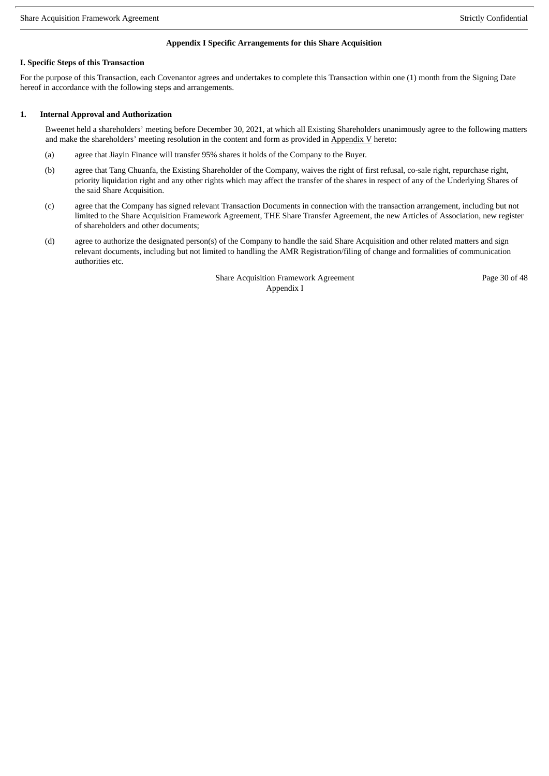#### **Appendix I Specific Arrangements for this Share Acquisition**

#### **I. Specific Steps of this Transaction**

For the purpose of this Transaction, each Covenantor agrees and undertakes to complete this Transaction within one (1) month from the Signing Date hereof in accordance with the following steps and arrangements.

#### **1. Internal Approval and Authorization**

Bweenet held a shareholders' meeting before December 30, 2021, at which all Existing Shareholders unanimously agree to the following matters and make the shareholders' meeting resolution in the content and form as provided in Appendix V hereto:

- (a) agree that Jiayin Finance will transfer 95% shares it holds of the Company to the Buyer.
- (b) agree that Tang Chuanfa, the Existing Shareholder of the Company, waives the right of first refusal, co-sale right, repurchase right, priority liquidation right and any other rights which may affect the transfer of the shares in respect of any of the Underlying Shares of the said Share Acquisition.
- (c) agree that the Company has signed relevant Transaction Documents in connection with the transaction arrangement, including but not limited to the Share Acquisition Framework Agreement, THE Share Transfer Agreement, the new Articles of Association, new register of shareholders and other documents;
- (d) agree to authorize the designated person(s) of the Company to handle the said Share Acquisition and other related matters and sign relevant documents, including but not limited to handling the AMR Registration/filing of change and formalities of communication authorities etc.

Share Acquisition Framework Agreement Appendix I

Page 30 of 48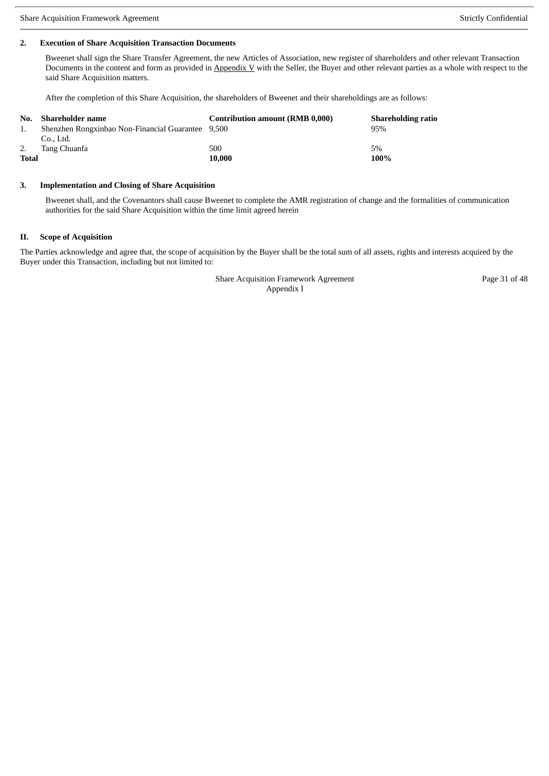#### **2. Execution of Share Acquisition Transaction Documents**

Bweenet shall sign the Share Transfer Agreement, the new Articles of Association, new register of shareholders and other relevant Transaction Documents in the content and form as provided in Appendix V with the Seller, the Buyer and other relevant parties as a whole with respect to the said Share Acquisition matters.

After the completion of this Share Acquisition, the shareholders of Bweenet and their shareholdings are as follows:

|       | No. Shareholder name                              | Contribution amount (RMB 0,000) | <b>Shareholding ratio</b> |
|-------|---------------------------------------------------|---------------------------------|---------------------------|
|       | Shenzhen Rongxinbao Non-Financial Guarantee 9,500 |                                 | 95%                       |
|       | Co., Ltd.                                         |                                 |                           |
|       | Tang Chuanfa                                      | 500                             | 5%                        |
| Total |                                                   | 10.000                          | 100%                      |

#### **3. Implementation and Closing of Share Acquisition**

Bweenet shall, and the Covenantors shall cause Bweenet to complete the AMR registration of change and the formalities of communication authorities for the said Share Acquisition within the time limit agreed herein

#### **II. Scope of Acquisition**

The Parties acknowledge and agree that, the scope of acquisition by the Buyer shall be the total sum of all assets, rights and interests acquired by the Buyer under this Transaction, including but not limited to:

> Share Acquisition Framework Agreement Appendix I

Page 31 of 48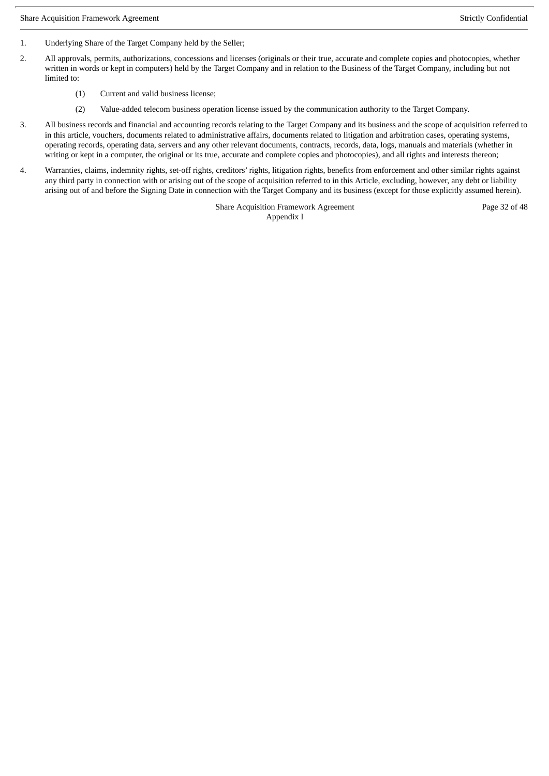- 1. Underlying Share of the Target Company held by the Seller;
- 2. All approvals, permits, authorizations, concessions and licenses (originals or their true, accurate and complete copies and photocopies, whether written in words or kept in computers) held by the Target Company and in relation to the Business of the Target Company, including but not limited to:
	- (1) Current and valid business license;
	- (2) Value-added telecom business operation license issued by the communication authority to the Target Company.
- 3. All business records and financial and accounting records relating to the Target Company and its business and the scope of acquisition referred to in this article, vouchers, documents related to administrative affairs, documents related to litigation and arbitration cases, operating systems, operating records, operating data, servers and any other relevant documents, contracts, records, data, logs, manuals and materials (whether in writing or kept in a computer, the original or its true, accurate and complete copies and photocopies), and all rights and interests thereon;
- 4. Warranties, claims, indemnity rights, set-off rights, creditors' rights, litigation rights, benefits from enforcement and other similar rights against any third party in connection with or arising out of the scope of acquisition referred to in this Article, excluding, however, any debt or liability arising out of and before the Signing Date in connection with the Target Company and its business (except for those explicitly assumed herein).

Share Acquisition Framework Agreement Appendix I

Page 32 of 48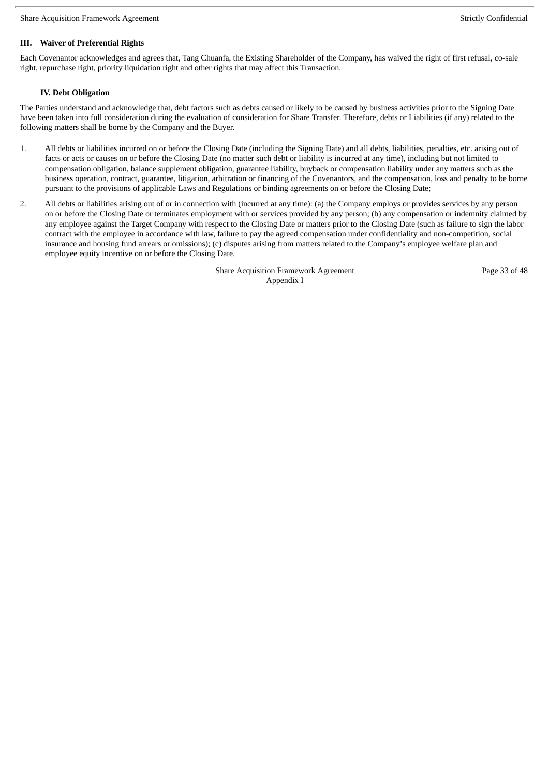#### **III. Waiver of Preferential Rights**

Each Covenantor acknowledges and agrees that, Tang Chuanfa, the Existing Shareholder of the Company, has waived the right of first refusal, co-sale right, repurchase right, priority liquidation right and other rights that may affect this Transaction.

#### **IV. Debt Obligation**

The Parties understand and acknowledge that, debt factors such as debts caused or likely to be caused by business activities prior to the Signing Date have been taken into full consideration during the evaluation of consideration for Share Transfer. Therefore, debts or Liabilities (if any) related to the following matters shall be borne by the Company and the Buyer.

- 1. All debts or liabilities incurred on or before the Closing Date (including the Signing Date) and all debts, liabilities, penalties, etc. arising out of facts or acts or causes on or before the Closing Date (no matter such debt or liability is incurred at any time), including but not limited to compensation obligation, balance supplement obligation, guarantee liability, buyback or compensation liability under any matters such as the business operation, contract, guarantee, litigation, arbitration or financing of the Covenantors, and the compensation, loss and penalty to be borne pursuant to the provisions of applicable Laws and Regulations or binding agreements on or before the Closing Date;
- 2. All debts or liabilities arising out of or in connection with (incurred at any time): (a) the Company employs or provides services by any person on or before the Closing Date or terminates employment with or services provided by any person; (b) any compensation or indemnity claimed by any employee against the Target Company with respect to the Closing Date or matters prior to the Closing Date (such as failure to sign the labor contract with the employee in accordance with law, failure to pay the agreed compensation under confidentiality and non-competition, social insurance and housing fund arrears or omissions); (c) disputes arising from matters related to the Company's employee welfare plan and employee equity incentive on or before the Closing Date.

Share Acquisition Framework Agreement Appendix I

Page 33 of 48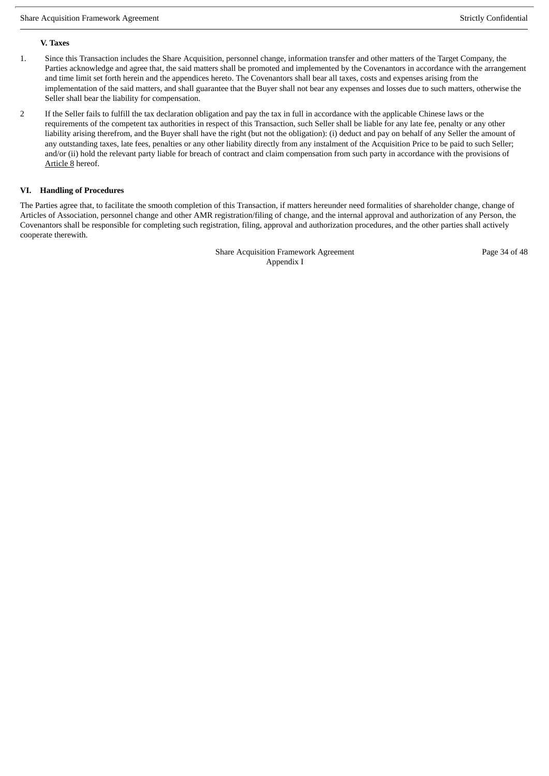#### **V. Taxes**

- 1. Since this Transaction includes the Share Acquisition, personnel change, information transfer and other matters of the Target Company, the Parties acknowledge and agree that, the said matters shall be promoted and implemented by the Covenantors in accordance with the arrangement and time limit set forth herein and the appendices hereto. The Covenantors shall bear all taxes, costs and expenses arising from the implementation of the said matters, and shall guarantee that the Buyer shall not bear any expenses and losses due to such matters, otherwise the Seller shall bear the liability for compensation.
- 2 If the Seller fails to fulfill the tax declaration obligation and pay the tax in full in accordance with the applicable Chinese laws or the requirements of the competent tax authorities in respect of this Transaction, such Seller shall be liable for any late fee, penalty or any other liability arising therefrom, and the Buyer shall have the right (but not the obligation): (i) deduct and pay on behalf of any Seller the amount of any outstanding taxes, late fees, penalties or any other liability directly from any instalment of the Acquisition Price to be paid to such Seller; and/or (ii) hold the relevant party liable for breach of contract and claim compensation from such party in accordance with the provisions of Article 8 hereof.

#### **VI. Handling of Procedures**

The Parties agree that, to facilitate the smooth completion of this Transaction, if matters hereunder need formalities of shareholder change, change of Articles of Association, personnel change and other AMR registration/filing of change, and the internal approval and authorization of any Person, the Covenantors shall be responsible for completing such registration, filing, approval and authorization procedures, and the other parties shall actively cooperate therewith.

> Share Acquisition Framework Agreement Appendix I

Page 34 of 48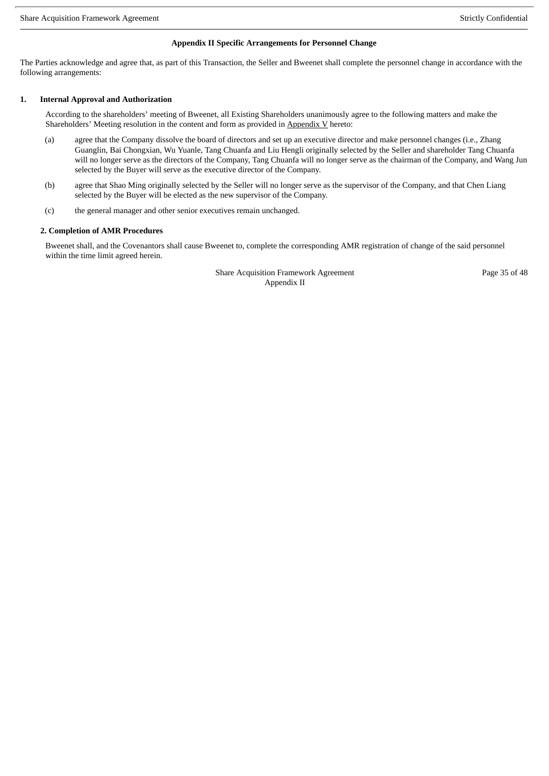#### **Appendix II Specific Arrangements for Personnel Change**

The Parties acknowledge and agree that, as part of this Transaction, the Seller and Bweenet shall complete the personnel change in accordance with the following arrangements:

#### **1. Internal Approval and Authorization**

According to the shareholders' meeting of Bweenet, all Existing Shareholders unanimously agree to the following matters and make the Shareholders' Meeting resolution in the content and form as provided in  $\Delta$ ppendix V hereto:

- (a) agree that the Company dissolve the board of directors and set up an executive director and make personnel changes (i.e., Zhang Guanglin, Bai Chongxian, Wu Yuanle, Tang Chuanfa and Liu Hengli originally selected by the Seller and shareholder Tang Chuanfa will no longer serve as the directors of the Company, Tang Chuanfa will no longer serve as the chairman of the Company, and Wang Jun selected by the Buyer will serve as the executive director of the Company.
- (b) agree that Shao Ming originally selected by the Seller will no longer serve as the supervisor of the Company, and that Chen Liang selected by the Buyer will be elected as the new supervisor of the Company.
- (c) the general manager and other senior executives remain unchanged.

#### **2. Completion of AMR Procedures**

Bweenet shall, and the Covenantors shall cause Bweenet to, complete the corresponding AMR registration of change of the said personnel within the time limit agreed herein.

> Share Acquisition Framework Agreement Appendix II

Page 35 of 48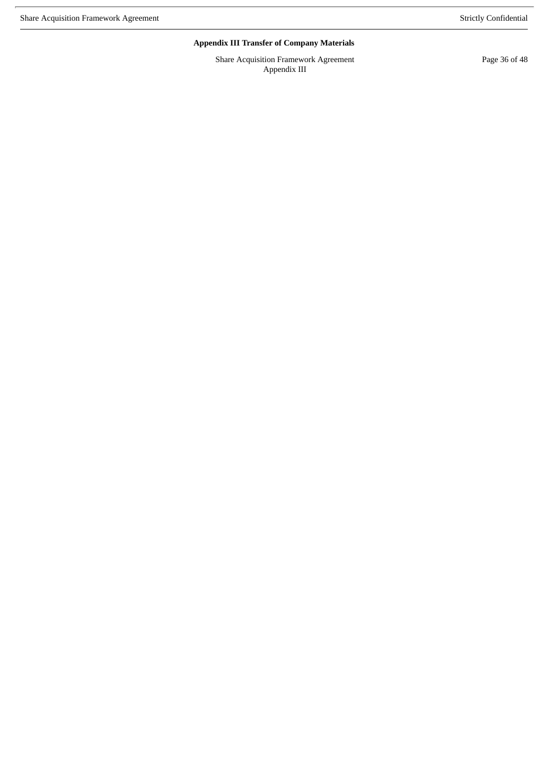# **Appendix III Transfer of Company Materials**

Share Acquisition Framework Agreement Appendix III

Page 36 of 48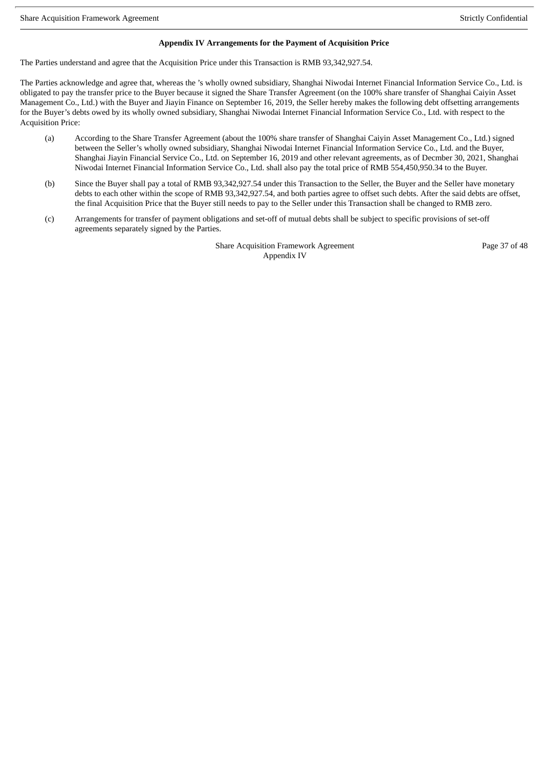#### **Appendix IV Arrangements for the Payment of Acquisition Price**

The Parties understand and agree that the Acquisition Price under this Transaction is RMB 93,342,927.54.

The Parties acknowledge and agree that, whereas the 's wholly owned subsidiary, Shanghai Niwodai Internet Financial Information Service Co., Ltd. is obligated to pay the transfer price to the Buyer because it signed the Share Transfer Agreement (on the 100% share transfer of Shanghai Caiyin Asset Management Co., Ltd.) with the Buyer and Jiayin Finance on September 16, 2019, the Seller hereby makes the following debt offsetting arrangements for the Buyer's debts owed by its wholly owned subsidiary, Shanghai Niwodai Internet Financial Information Service Co., Ltd. with respect to the Acquisition Price:

- (a) According to the Share Transfer Agreement (about the 100% share transfer of Shanghai Caiyin Asset Management Co., Ltd.) signed between the Seller's wholly owned subsidiary, Shanghai Niwodai Internet Financial Information Service Co., Ltd. and the Buyer, Shanghai Jiayin Financial Service Co., Ltd. on September 16, 2019 and other relevant agreements, as of Decmber 30, 2021, Shanghai Niwodai Internet Financial Information Service Co., Ltd. shall also pay the total price of RMB 554,450,950.34 to the Buyer.
- (b) Since the Buyer shall pay a total of RMB 93,342,927.54 under this Transaction to the Seller, the Buyer and the Seller have monetary debts to each other within the scope of RMB 93,342,927.54, and both parties agree to offset such debts. After the said debts are offset, the final Acquisition Price that the Buyer still needs to pay to the Seller under this Transaction shall be changed to RMB zero.
- (c) Arrangements for transfer of payment obligations and set-off of mutual debts shall be subject to specific provisions of set-off agreements separately signed by the Parties.

Share Acquisition Framework Agreement Appendix IV

Page 37 of 48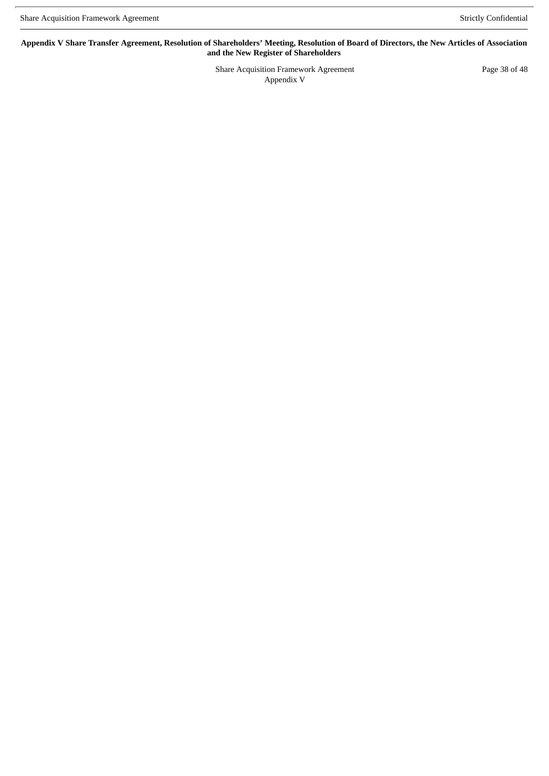#### Appendix V Share Transfer Agreement, Resolution of Shareholders' Meeting, Resolution of Board of Directors, the New Articles of Association **and the New Register of Shareholders**

Share Acquisition Framework Agreement Appendix V

Page 38 of 48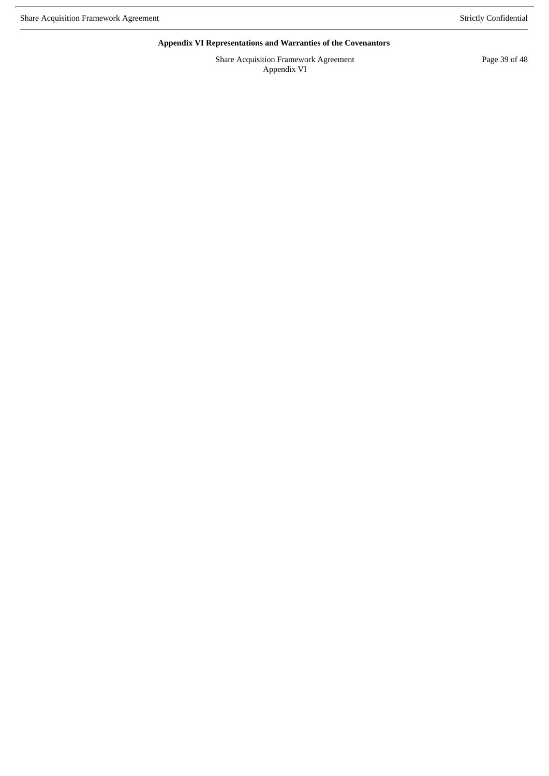# **Appendix VI Representations and Warranties of the Covenantors**

Share Acquisition Framework Agreement Appendix VI

Page 39 of 48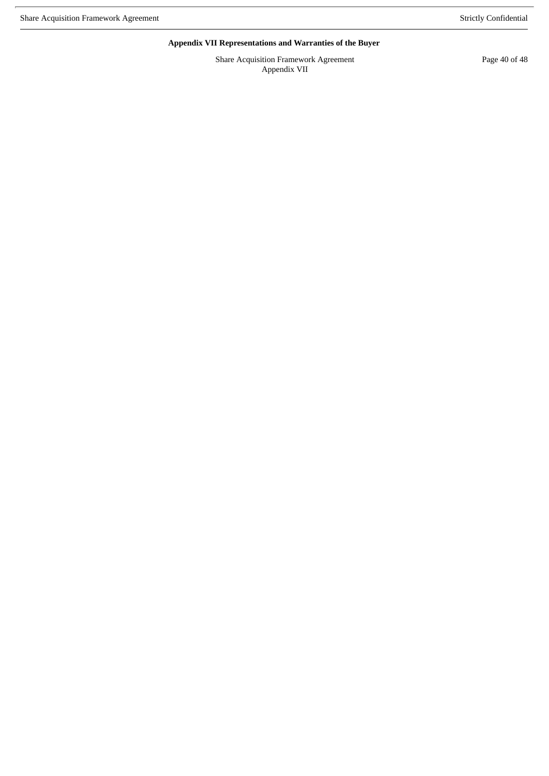# **Appendix VII Representations and Warranties of the Buyer**

Share Acquisition Framework Agreement Appendix VII

Page 40 of 48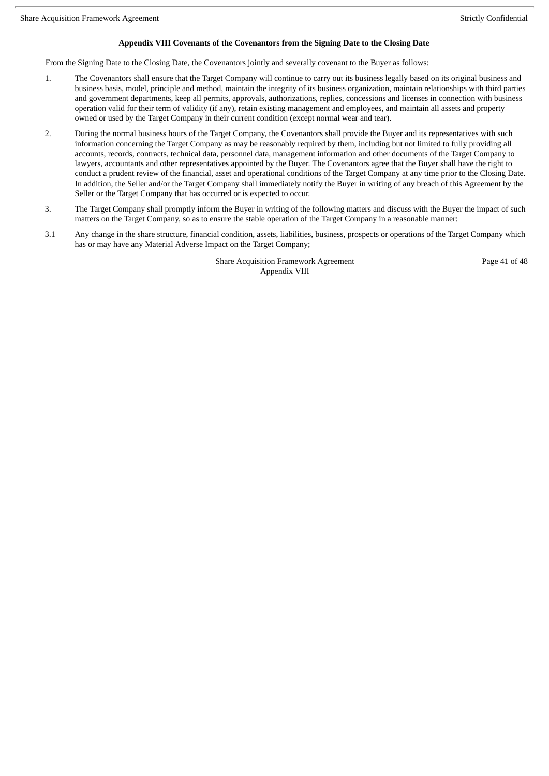#### **Appendix VIII Covenants of the Covenantors from the Signing Date to the Closing Date**

From the Signing Date to the Closing Date, the Covenantors jointly and severally covenant to the Buyer as follows:

- 1. The Covenantors shall ensure that the Target Company will continue to carry out its business legally based on its original business and business basis, model, principle and method, maintain the integrity of its business organization, maintain relationships with third parties and government departments, keep all permits, approvals, authorizations, replies, concessions and licenses in connection with business operation valid for their term of validity (if any), retain existing management and employees, and maintain all assets and property owned or used by the Target Company in their current condition (except normal wear and tear).
- 2. During the normal business hours of the Target Company, the Covenantors shall provide the Buyer and its representatives with such information concerning the Target Company as may be reasonably required by them, including but not limited to fully providing all accounts, records, contracts, technical data, personnel data, management information and other documents of the Target Company to lawyers, accountants and other representatives appointed by the Buyer. The Covenantors agree that the Buyer shall have the right to conduct a prudent review of the financial, asset and operational conditions of the Target Company at any time prior to the Closing Date. In addition, the Seller and/or the Target Company shall immediately notify the Buyer in writing of any breach of this Agreement by the Seller or the Target Company that has occurred or is expected to occur.
- 3. The Target Company shall promptly inform the Buyer in writing of the following matters and discuss with the Buyer the impact of such matters on the Target Company, so as to ensure the stable operation of the Target Company in a reasonable manner:
- 3.1 Any change in the share structure, financial condition, assets, liabilities, business, prospects or operations of the Target Company which has or may have any Material Adverse Impact on the Target Company;

Share Acquisition Framework Agreement Appendix VIII

Page 41 of 48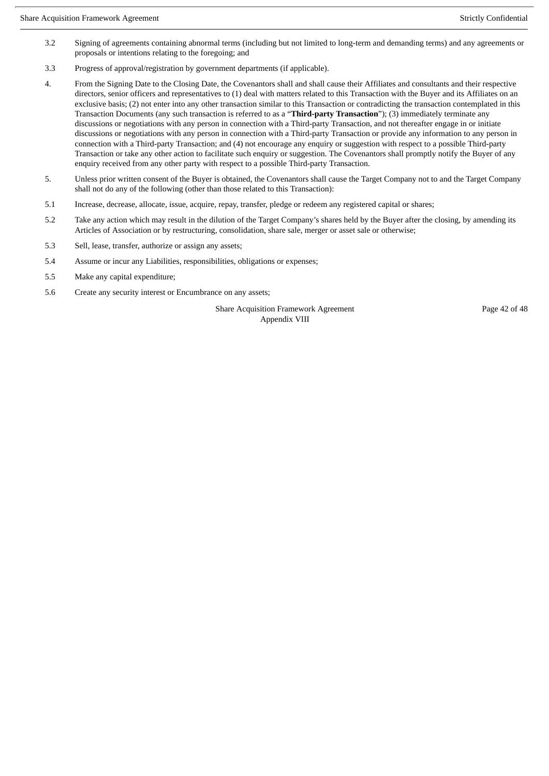- 3.2 Signing of agreements containing abnormal terms (including but not limited to long-term and demanding terms) and any agreements or proposals or intentions relating to the foregoing; and
- 3.3 Progress of approval/registration by government departments (if applicable).
- 4. From the Signing Date to the Closing Date, the Covenantors shall and shall cause their Affiliates and consultants and their respective directors, senior officers and representatives to (1) deal with matters related to this Transaction with the Buyer and its Affiliates on an exclusive basis; (2) not enter into any other transaction similar to this Transaction or contradicting the transaction contemplated in this Transaction Documents (any such transaction is referred to as a "**Third-party Transaction**"); (3) immediately terminate any discussions or negotiations with any person in connection with a Third-party Transaction, and not thereafter engage in or initiate discussions or negotiations with any person in connection with a Third-party Transaction or provide any information to any person in connection with a Third-party Transaction; and (4) not encourage any enquiry or suggestion with respect to a possible Third-party Transaction or take any other action to facilitate such enquiry or suggestion. The Covenantors shall promptly notify the Buyer of any enquiry received from any other party with respect to a possible Third-party Transaction.
- 5. Unless prior written consent of the Buyer is obtained, the Covenantors shall cause the Target Company not to and the Target Company shall not do any of the following (other than those related to this Transaction):
- 5.1 Increase, decrease, allocate, issue, acquire, repay, transfer, pledge or redeem any registered capital or shares;
- 5.2 Take any action which may result in the dilution of the Target Company's shares held by the Buyer after the closing, by amending its Articles of Association or by restructuring, consolidation, share sale, merger or asset sale or otherwise;
- 5.3 Sell, lease, transfer, authorize or assign any assets;
- 5.4 Assume or incur any Liabilities, responsibilities, obligations or expenses;
- 5.5 Make any capital expenditure;
- 5.6 Create any security interest or Encumbrance on any assets;

Share Acquisition Framework Agreement Appendix VIII

Page 42 of 48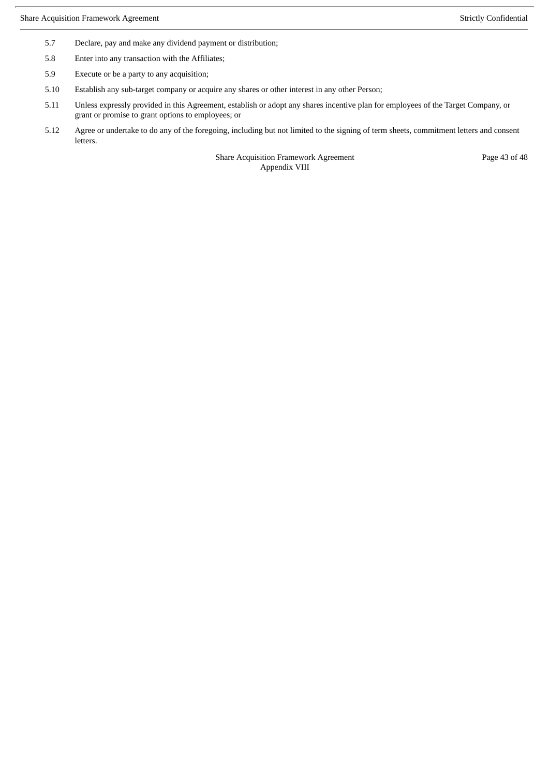- 5.7 Declare, pay and make any dividend payment or distribution;
- 5.8 Enter into any transaction with the Affiliates;
- 5.9 Execute or be a party to any acquisition;
- 5.10 Establish any sub-target company or acquire any shares or other interest in any other Person;
- 5.11 Unless expressly provided in this Agreement, establish or adopt any shares incentive plan for employees of the Target Company, or grant or promise to grant options to employees; or
- 5.12 Agree or undertake to do any of the foregoing, including but not limited to the signing of term sheets, commitment letters and consent letters.

Share Acquisition Framework Agreement Appendix VIII

Page 43 of 48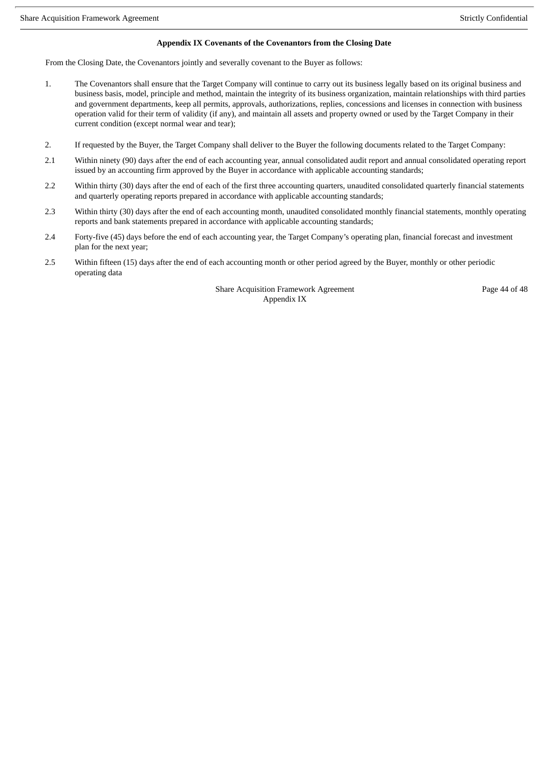#### **Appendix IX Covenants of the Covenantors from the Closing Date**

From the Closing Date, the Covenantors jointly and severally covenant to the Buyer as follows:

- 1. The Covenantors shall ensure that the Target Company will continue to carry out its business legally based on its original business and business basis, model, principle and method, maintain the integrity of its business organization, maintain relationships with third parties and government departments, keep all permits, approvals, authorizations, replies, concessions and licenses in connection with business operation valid for their term of validity (if any), and maintain all assets and property owned or used by the Target Company in their current condition (except normal wear and tear);
- 2. If requested by the Buyer, the Target Company shall deliver to the Buyer the following documents related to the Target Company:
- 2.1 Within ninety (90) days after the end of each accounting year, annual consolidated audit report and annual consolidated operating report issued by an accounting firm approved by the Buyer in accordance with applicable accounting standards;
- 2.2 Within thirty (30) days after the end of each of the first three accounting quarters, unaudited consolidated quarterly financial statements and quarterly operating reports prepared in accordance with applicable accounting standards;
- 2.3 Within thirty (30) days after the end of each accounting month, unaudited consolidated monthly financial statements, monthly operating reports and bank statements prepared in accordance with applicable accounting standards;
- 2.4 Forty-five (45) days before the end of each accounting year, the Target Company's operating plan, financial forecast and investment plan for the next year;
- 2.5 Within fifteen (15) days after the end of each accounting month or other period agreed by the Buyer, monthly or other periodic operating data

Share Acquisition Framework Agreement Appendix IX

Page 44 of 48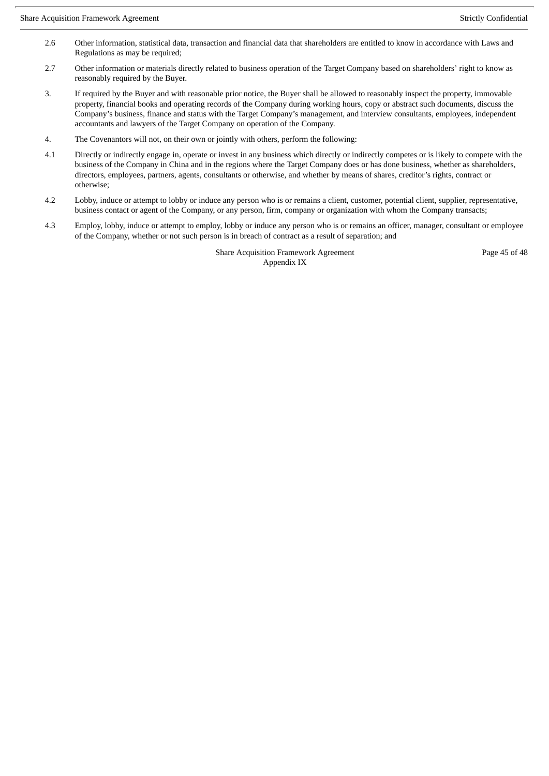- 2.6 Other information, statistical data, transaction and financial data that shareholders are entitled to know in accordance with Laws and Regulations as may be required;
- 2.7 Other information or materials directly related to business operation of the Target Company based on shareholders' right to know as reasonably required by the Buyer.
- 3. If required by the Buyer and with reasonable prior notice, the Buyer shall be allowed to reasonably inspect the property, immovable property, financial books and operating records of the Company during working hours, copy or abstract such documents, discuss the Company's business, finance and status with the Target Company's management, and interview consultants, employees, independent accountants and lawyers of the Target Company on operation of the Company.
- 4. The Covenantors will not, on their own or jointly with others, perform the following:
- 4.1 Directly or indirectly engage in, operate or invest in any business which directly or indirectly competes or is likely to compete with the business of the Company in China and in the regions where the Target Company does or has done business, whether as shareholders, directors, employees, partners, agents, consultants or otherwise, and whether by means of shares, creditor's rights, contract or otherwise;
- 4.2 Lobby, induce or attempt to lobby or induce any person who is or remains a client, customer, potential client, supplier, representative, business contact or agent of the Company, or any person, firm, company or organization with whom the Company transacts;
- 4.3 Employ, lobby, induce or attempt to employ, lobby or induce any person who is or remains an officer, manager, consultant or employee of the Company, whether or not such person is in breach of contract as a result of separation; and

Share Acquisition Framework Agreement Appendix IX

Page 45 of 48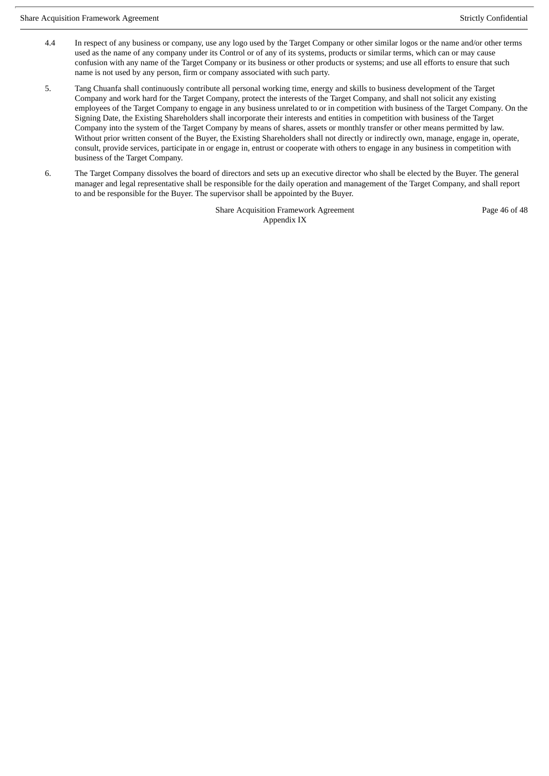- 4.4 In respect of any business or company, use any logo used by the Target Company or other similar logos or the name and/or other terms used as the name of any company under its Control or of any of its systems, products or similar terms, which can or may cause confusion with any name of the Target Company or its business or other products or systems; and use all efforts to ensure that such name is not used by any person, firm or company associated with such party.
- 5. Tang Chuanfa shall continuously contribute all personal working time, energy and skills to business development of the Target Company and work hard for the Target Company, protect the interests of the Target Company, and shall not solicit any existing employees of the Target Company to engage in any business unrelated to or in competition with business of the Target Company. On the Signing Date, the Existing Shareholders shall incorporate their interests and entities in competition with business of the Target Company into the system of the Target Company by means of shares, assets or monthly transfer or other means permitted by law. Without prior written consent of the Buyer, the Existing Shareholders shall not directly or indirectly own, manage, engage in, operate, consult, provide services, participate in or engage in, entrust or cooperate with others to engage in any business in competition with business of the Target Company.
- 6. The Target Company dissolves the board of directors and sets up an executive director who shall be elected by the Buyer. The general manager and legal representative shall be responsible for the daily operation and management of the Target Company, and shall report to and be responsible for the Buyer. The supervisor shall be appointed by the Buyer.

Share Acquisition Framework Agreement Appendix IX

Page 46 of 48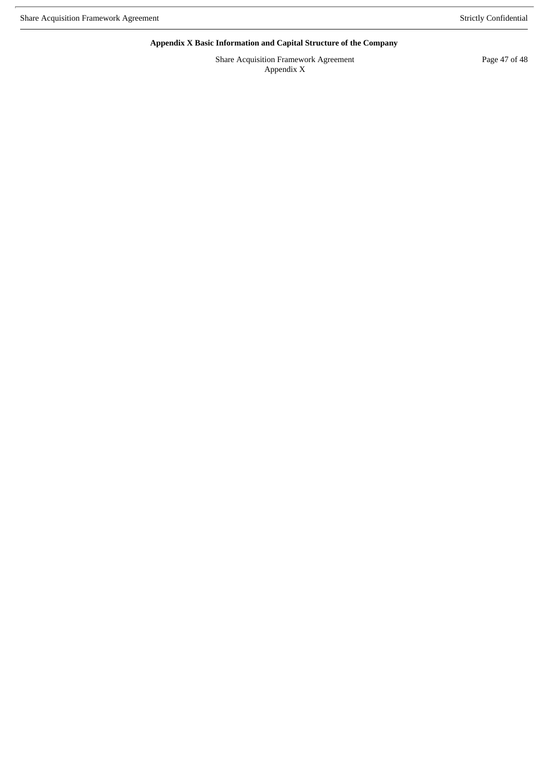# **Appendix X Basic Information and Capital Structure of the Company**

Share Acquisition Framework Agreement Appendix X

Page 47 of 48